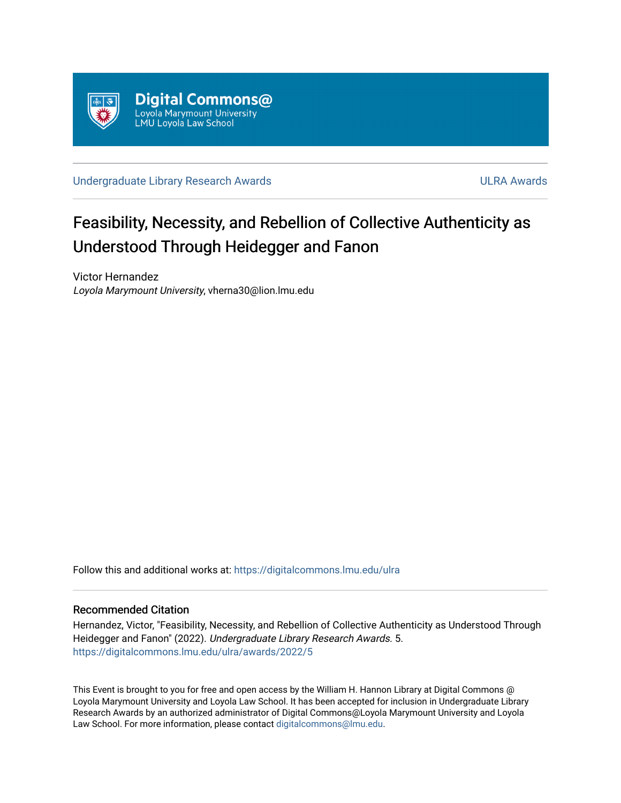

[Undergraduate Library Research Awards](https://digitalcommons.lmu.edu/ulra) **ULRA Awards** ULRA Awards

# Feasibility, Necessity, and Rebellion of Collective Authenticity as Understood Through Heidegger and Fanon

Victor Hernandez Loyola Marymount University, vherna30@lion.lmu.edu

Follow this and additional works at: [https://digitalcommons.lmu.edu/ulra](https://digitalcommons.lmu.edu/ulra?utm_source=digitalcommons.lmu.edu%2Fulra%2Fawards%2F2022%2F5&utm_medium=PDF&utm_campaign=PDFCoverPages)

# Recommended Citation

Hernandez, Victor, "Feasibility, Necessity, and Rebellion of Collective Authenticity as Understood Through Heidegger and Fanon" (2022). Undergraduate Library Research Awards. 5. [https://digitalcommons.lmu.edu/ulra/awards/2022/5](https://digitalcommons.lmu.edu/ulra/awards/2022/5?utm_source=digitalcommons.lmu.edu%2Fulra%2Fawards%2F2022%2F5&utm_medium=PDF&utm_campaign=PDFCoverPages)

This Event is brought to you for free and open access by the William H. Hannon Library at Digital Commons @ Loyola Marymount University and Loyola Law School. It has been accepted for inclusion in Undergraduate Library Research Awards by an authorized administrator of Digital Commons@Loyola Marymount University and Loyola Law School. For more information, please contact [digitalcommons@lmu.edu.](mailto:digitalcommons@lmu.edu)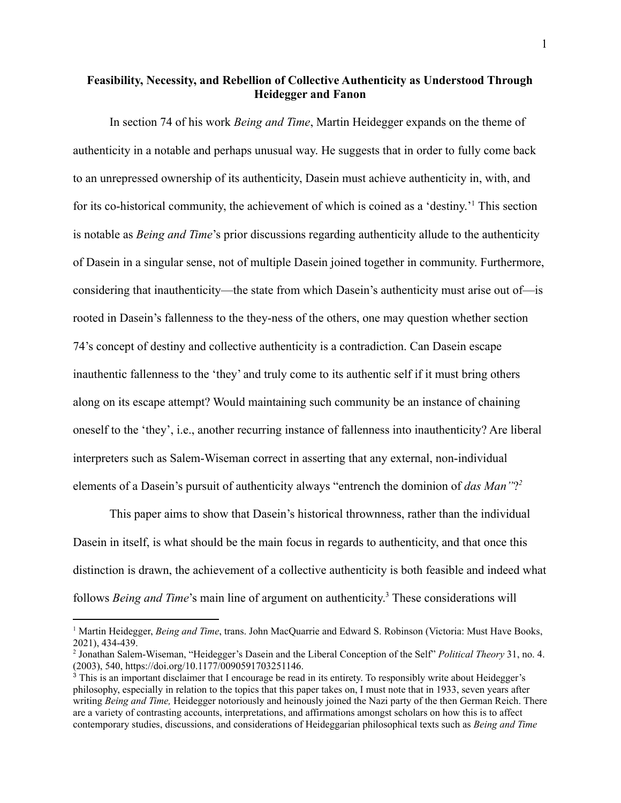# **Feasibility, Necessity, and Rebellion of Collective Authenticity as Understood Through Heidegger and Fanon**

In section 74 of his work *Being and Time*, Martin Heidegger expands on the theme of authenticity in a notable and perhaps unusual way. He suggests that in order to fully come back to an unrepressed ownership of its authenticity, Dasein must achieve authenticity in, with, and for its co-historical community, the achievement of which is coined as a 'destiny.'<sup>1</sup> This section is notable as *Being and Time*'s prior discussions regarding authenticity allude to the authenticity of Dasein in a singular sense, not of multiple Dasein joined together in community. Furthermore, considering that inauthenticity—the state from which Dasein's authenticity must arise out of—is rooted in Dasein's fallenness to the they-ness of the others, one may question whether section 74's concept of destiny and collective authenticity is a contradiction. Can Dasein escape inauthentic fallenness to the 'they' and truly come to its authentic self if it must bring others along on its escape attempt? Would maintaining such community be an instance of chaining oneself to the 'they', i.e., another recurring instance of fallenness into inauthenticity? Are liberal interpreters such as Salem-Wiseman correct in asserting that any external, non-individual elements of a Dasein's pursuit of authenticity always "entrench the dominion of *das Man"*? *2*

This paper aims to show that Dasein's historical thrownness, rather than the individual Dasein in itself, is what should be the main focus in regards to authenticity, and that once this distinction is drawn, the achievement of a collective authenticity is both feasible and indeed what follows *Being and Time*'s main line of argument on authenticity. <sup>3</sup> These considerations will

<sup>&</sup>lt;sup>1</sup> Martin Heidegger, *Being and Time*, trans. John MacQuarrie and Edward S. Robinson (Victoria: Must Have Books, 2021), 434-439.

<sup>2</sup> Jonathan Salem-Wiseman, "Heidegger's Dasein and the Liberal Conception of the Self" *Political Theory* 31, no. 4. (2003), 540, [https://doi.org/10.1177/0090591703251146](https://doi.org/10.1177%2F0090591703251146).

<sup>&</sup>lt;sup>3</sup> This is an important disclaimer that I encourage be read in its entirety. To responsibly write about Heidegger's philosophy, especially in relation to the topics that this paper takes on, I must note that in 1933, seven years after writing *Being and Time,* Heidegger notoriously and heinously joined the Nazi party of the then German Reich. There are a variety of contrasting accounts, interpretations, and affirmations amongst scholars on how this is to affect contemporary studies, discussions, and considerations of Heideggarian philosophical texts such as *Being and Time*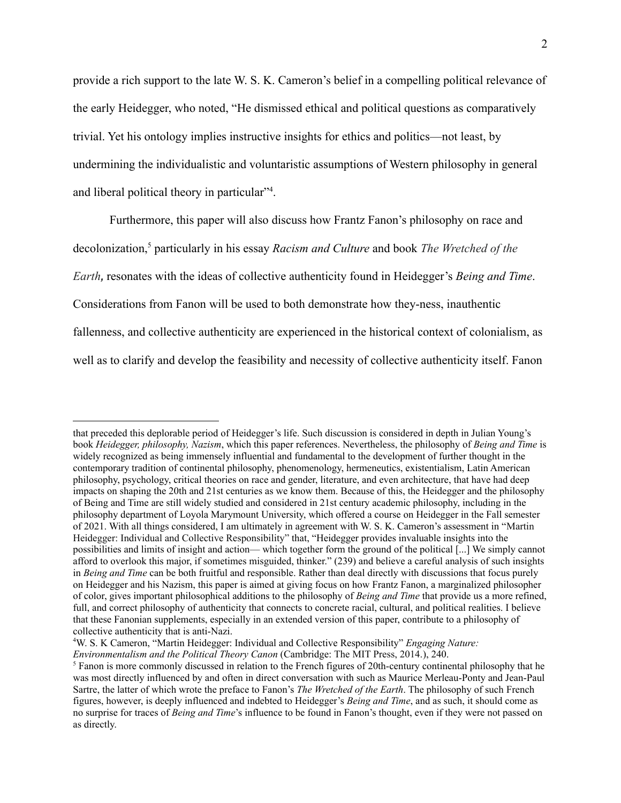provide a rich support to the late W. S. K. Cameron's belief in a compelling political relevance of the early Heidegger, who noted, "He dismissed ethical and political questions as comparatively trivial. Yet his ontology implies instructive insights for ethics and politics—not least, by undermining the individualistic and voluntaristic assumptions of Western philosophy in general and liberal political theory in particular"<sup>4</sup>.

Furthermore, this paper will also discuss how Frantz Fanon's philosophy on race and decolonization,<sup>5</sup> particularly in his essay *Racism and Culture* and book *The Wretched of the Earth,* resonates with the ideas of collective authenticity found in Heidegger's *Being and Time*. Considerations from Fanon will be used to both demonstrate how they-ness, inauthentic fallenness, and collective authenticity are experienced in the historical context of colonialism, as well as to clarify and develop the feasibility and necessity of collective authenticity itself. Fanon

that preceded this deplorable period of Heidegger's life. Such discussion is considered in depth in Julian Young's book *Heidegger, philosophy, Nazism*, which this paper references. Nevertheless, the philosophy of *Being and Time* is widely recognized as being immensely influential and fundamental to the development of further thought in the contemporary tradition of continental philosophy, phenomenology, hermeneutics, existentialism, Latin American philosophy, psychology, critical theories on race and gender, literature, and even architecture, that have had deep impacts on shaping the 20th and 21st centuries as we know them. Because of this, the Heidegger and the philosophy of Being and Time are still widely studied and considered in 21st century academic philosophy, including in the philosophy department of Loyola Marymount University, which offered a course on Heidegger in the Fall semester of 2021. With all things considered, I am ultimately in agreement with W. S. K. Cameron's assessment in "Martin Heidegger: Individual and Collective Responsibility" that, "Heidegger provides invaluable insights into the possibilities and limits of insight and action— which together form the ground of the political [...] We simply cannot afford to overlook this major, if sometimes misguided, thinker." (239) and believe a careful analysis of such insights in *Being and Time* can be both fruitful and responsible. Rather than deal directly with discussions that focus purely on Heidegger and his Nazism, this paper is aimed at giving focus on how Frantz Fanon, a marginalized philosopher of color, gives important philosophical additions to the philosophy of *Being and Time* that provide us a more refined, full, and correct philosophy of authenticity that connects to concrete racial, cultural, and political realities. I believe that these Fanonian supplements, especially in an extended version of this paper, contribute to a philosophy of collective authenticity that is anti-Nazi.

<sup>4</sup>W. S. K Cameron, "Martin Heidegger: Individual and Collective Responsibility" *Engaging Nature: Environmentalism and the Political Theory Canon* (Cambridge: The MIT Press, 2014.), 240.

<sup>&</sup>lt;sup>5</sup> Fanon is more commonly discussed in relation to the French figures of 20th-century continental philosophy that he was most directly influenced by and often in direct conversation with such as Maurice Merleau-Ponty and Jean-Paul Sartre, the latter of which wrote the preface to Fanon's *The Wretched of the Earth*. The philosophy of such French figures, however, is deeply influenced and indebted to Heidegger's *Being and Time*, and as such, it should come as no surprise for traces of *Being and Time*'s influence to be found in Fanon's thought, even if they were not passed on as directly.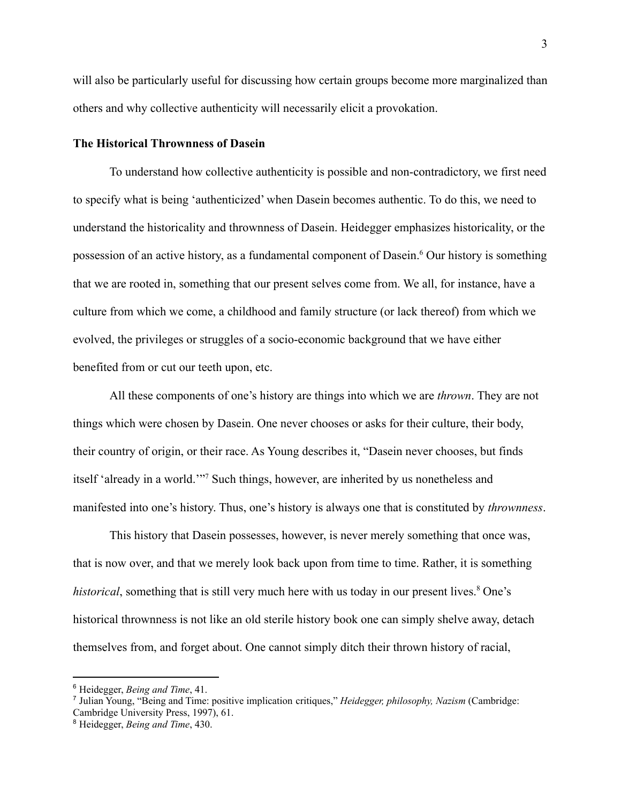will also be particularly useful for discussing how certain groups become more marginalized than others and why collective authenticity will necessarily elicit a provokation.

#### **The Historical Thrownness of Dasein**

To understand how collective authenticity is possible and non-contradictory, we first need to specify what is being 'authenticized' when Dasein becomes authentic. To do this, we need to understand the historicality and thrownness of Dasein. Heidegger emphasizes historicality, or the possession of an active history, as a fundamental component of Dasein.<sup>6</sup> Our history is something that we are rooted in, something that our present selves come from. We all, for instance, have a culture from which we come, a childhood and family structure (or lack thereof) from which we evolved, the privileges or struggles of a socio-economic background that we have either benefited from or cut our teeth upon, etc.

All these components of one's history are things into which we are *thrown*. They are not things which were chosen by Dasein. One never chooses or asks for their culture, their body, their country of origin, or their race. As Young describes it, "Dasein never chooses, but finds itself 'already in a world.'"<sup>7</sup> Such things, however, are inherited by us nonetheless and manifested into one's history. Thus, one's history is always one that is constituted by *thrownness*.

This history that Dasein possesses, however, is never merely something that once was, that is now over, and that we merely look back upon from time to time. Rather, it is something *historical*, something that is still very much here with us today in our present lives.<sup>8</sup> One's historical thrownness is not like an old sterile history book one can simply shelve away, detach themselves from, and forget about. One cannot simply ditch their thrown history of racial,

<sup>6</sup> Heidegger, *Being and Time*, 41.

<sup>7</sup> Julian Young, "Being and Time: positive implication critiques," *Heidegger, philosophy, Nazism* (Cambridge: Cambridge University Press, 1997), 61.

<sup>8</sup> Heidegger, *Being and Time*, 430.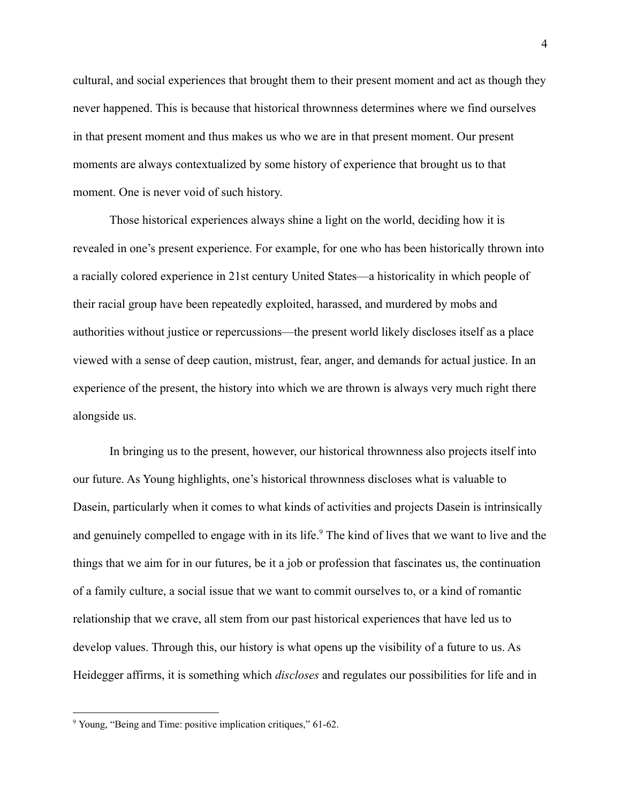cultural, and social experiences that brought them to their present moment and act as though they never happened. This is because that historical thrownness determines where we find ourselves in that present moment and thus makes us who we are in that present moment. Our present moments are always contextualized by some history of experience that brought us to that moment. One is never void of such history.

Those historical experiences always shine a light on the world, deciding how it is revealed in one's present experience. For example, for one who has been historically thrown into a racially colored experience in 21st century United States—a historicality in which people of their racial group have been repeatedly exploited, harassed, and murdered by mobs and authorities without justice or repercussions—the present world likely discloses itself as a place viewed with a sense of deep caution, mistrust, fear, anger, and demands for actual justice. In an experience of the present, the history into which we are thrown is always very much right there alongside us.

In bringing us to the present, however, our historical thrownness also projects itself into our future. As Young highlights, one's historical thrownness discloses what is valuable to Dasein, particularly when it comes to what kinds of activities and projects Dasein is intrinsically and genuinely compelled to engage with in its life.<sup>9</sup> The kind of lives that we want to live and the things that we aim for in our futures, be it a job or profession that fascinates us, the continuation of a family culture, a social issue that we want to commit ourselves to, or a kind of romantic relationship that we crave, all stem from our past historical experiences that have led us to develop values. Through this, our history is what opens up the visibility of a future to us. As Heidegger affirms, it is something which *discloses* and regulates our possibilities for life and in

<sup>9</sup> Young, "Being and Time: positive implication critiques," 61-62.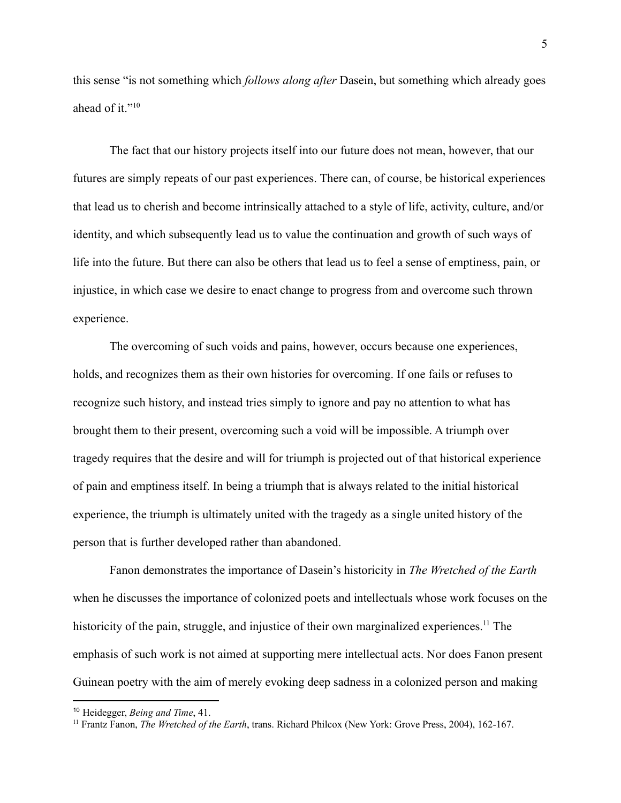this sense "is not something which *follows along after* Dasein, but something which already goes ahead of it."<sup>10</sup>

The fact that our history projects itself into our future does not mean, however, that our futures are simply repeats of our past experiences. There can, of course, be historical experiences that lead us to cherish and become intrinsically attached to a style of life, activity, culture, and/or identity, and which subsequently lead us to value the continuation and growth of such ways of life into the future. But there can also be others that lead us to feel a sense of emptiness, pain, or injustice, in which case we desire to enact change to progress from and overcome such thrown experience.

The overcoming of such voids and pains, however, occurs because one experiences, holds, and recognizes them as their own histories for overcoming. If one fails or refuses to recognize such history, and instead tries simply to ignore and pay no attention to what has brought them to their present, overcoming such a void will be impossible. A triumph over tragedy requires that the desire and will for triumph is projected out of that historical experience of pain and emptiness itself. In being a triumph that is always related to the initial historical experience, the triumph is ultimately united with the tragedy as a single united history of the person that is further developed rather than abandoned.

Fanon demonstrates the importance of Dasein's historicity in *The Wretched of the Earth* when he discusses the importance of colonized poets and intellectuals whose work focuses on the historicity of the pain, struggle, and injustice of their own marginalized experiences.<sup>11</sup> The emphasis of such work is not aimed at supporting mere intellectual acts. Nor does Fanon present Guinean poetry with the aim of merely evoking deep sadness in a colonized person and making

<sup>10</sup> Heidegger, *Being and Time*, 41.

<sup>11</sup> Frantz Fanon, *The Wretched of the Earth*, trans. Richard Philcox (New York: Grove Press, 2004), 162-167.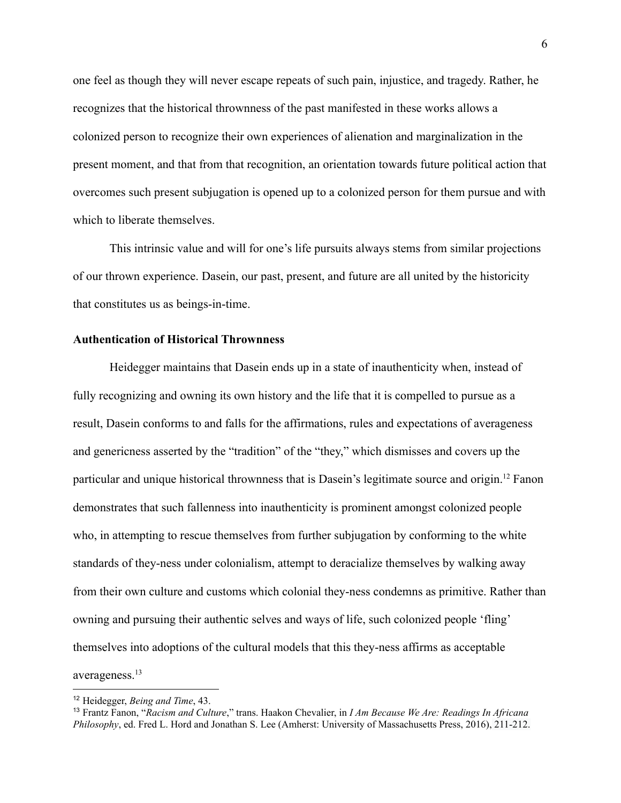one feel as though they will never escape repeats of such pain, injustice, and tragedy. Rather, he recognizes that the historical thrownness of the past manifested in these works allows a colonized person to recognize their own experiences of alienation and marginalization in the present moment, and that from that recognition, an orientation towards future political action that overcomes such present subjugation is opened up to a colonized person for them pursue and with which to liberate themselves.

This intrinsic value and will for one's life pursuits always stems from similar projections of our thrown experience. Dasein, our past, present, and future are all united by the historicity that constitutes us as beings-in-time.

## **Authentication of Historical Thrownness**

Heidegger maintains that Dasein ends up in a state of inauthenticity when, instead of fully recognizing and owning its own history and the life that it is compelled to pursue as a result, Dasein conforms to and falls for the affirmations, rules and expectations of averageness and genericness asserted by the "tradition" of the "they," which dismisses and covers up the particular and unique historical thrownness that is Dasein's legitimate source and origin.<sup>12</sup> Fanon demonstrates that such fallenness into inauthenticity is prominent amongst colonized people who, in attempting to rescue themselves from further subjugation by conforming to the white standards of they-ness under colonialism, attempt to deracialize themselves by walking away from their own culture and customs which colonial they-ness condemns as primitive. Rather than owning and pursuing their authentic selves and ways of life, such colonized people 'fling' themselves into adoptions of the cultural models that this they-ness affirms as acceptable averageness.<sup>13</sup>

<sup>12</sup> Heidegger, *Being and Time*, 43.

<sup>13</sup> Frantz Fanon, "*Racism and Culture*," trans. Haakon Chevalier, in *I Am Because We Are: Readings In Africana Philosophy*, ed. Fred L. Hord and Jonathan S. Lee (Amherst: University of Massachusetts Press, 2016), 211-212.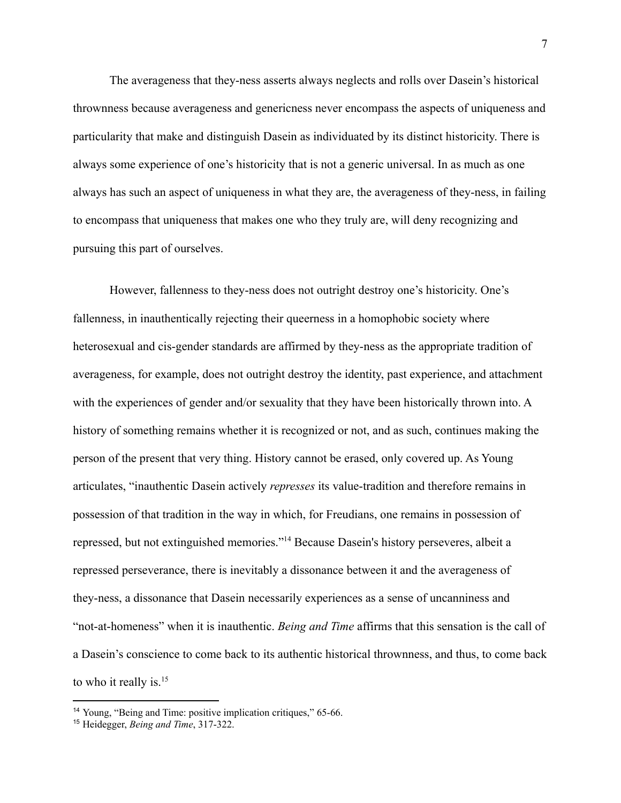The averageness that they-ness asserts always neglects and rolls over Dasein's historical thrownness because averageness and genericness never encompass the aspects of uniqueness and particularity that make and distinguish Dasein as individuated by its distinct historicity. There is always some experience of one's historicity that is not a generic universal. In as much as one always has such an aspect of uniqueness in what they are, the averageness of they-ness, in failing to encompass that uniqueness that makes one who they truly are, will deny recognizing and pursuing this part of ourselves.

However, fallenness to they-ness does not outright destroy one's historicity. One's fallenness, in inauthentically rejecting their queerness in a homophobic society where heterosexual and cis-gender standards are affirmed by they-ness as the appropriate tradition of averageness, for example, does not outright destroy the identity, past experience, and attachment with the experiences of gender and/or sexuality that they have been historically thrown into. A history of something remains whether it is recognized or not, and as such, continues making the person of the present that very thing. History cannot be erased, only covered up. As Young articulates, "inauthentic Dasein actively *represses* its value-tradition and therefore remains in possession of that tradition in the way in which, for Freudians, one remains in possession of repressed, but not extinguished memories."<sup>14</sup> Because Dasein's history perseveres, albeit a repressed perseverance, there is inevitably a dissonance between it and the averageness of they-ness, a dissonance that Dasein necessarily experiences as a sense of uncanniness and "not-at-homeness" when it is inauthentic. *Being and Time* affirms that this sensation is the call of a Dasein's conscience to come back to its authentic historical thrownness, and thus, to come back to who it really is.<sup>15</sup>

<sup>&</sup>lt;sup>14</sup> Young, "Being and Time: positive implication critiques," 65-66.

<sup>15</sup> Heidegger, *Being and Time*, 317-322.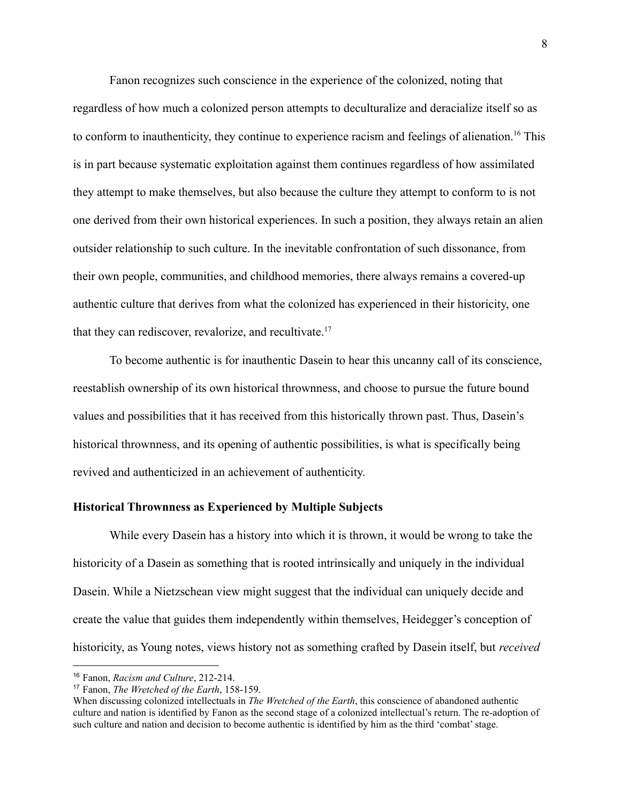Fanon recognizes such conscience in the experience of the colonized, noting that regardless of how much a colonized person attempts to deculturalize and deracialize itself so as to conform to inauthenticity, they continue to experience racism and feelings of alienation.<sup>16</sup> This is in part because systematic exploitation against them continues regardless of how assimilated they attempt to make themselves, but also because the culture they attempt to conform to is not one derived from their own historical experiences. In such a position, they always retain an alien outsider relationship to such culture. In the inevitable confrontation of such dissonance, from their own people, communities, and childhood memories, there always remains a covered-up authentic culture that derives from what the colonized has experienced in their historicity, one that they can rediscover, revalorize, and recultivate.<sup>17</sup>

To become authentic is for inauthentic Dasein to hear this uncanny call of its conscience, reestablish ownership of its own historical thrownness, and choose to pursue the future bound values and possibilities that it has received from this historically thrown past. Thus, Dasein's historical thrownness, and its opening of authentic possibilities, is what is specifically being revived and authenticized in an achievement of authenticity.

#### **Historical Thrownness as Experienced by Multiple Subjects**

While every Dasein has a history into which it is thrown, it would be wrong to take the historicity of a Dasein as something that is rooted intrinsically and uniquely in the individual Dasein. While a Nietzschean view might suggest that the individual can uniquely decide and create the value that guides them independently within themselves, Heidegger's conception of historicity, as Young notes, views history not as something crafted by Dasein itself, but *received*

<sup>16</sup> Fanon, *Racism and Culture*, 212-214.

<sup>17</sup> Fanon, *The Wretched of the Earth*, 158-159.

When discussing colonized intellectuals in *The Wretched of the Earth*, this conscience of abandoned authentic culture and nation is identified by Fanon as the second stage of a colonized intellectual's return. The re-adoption of such culture and nation and decision to become authentic is identified by him as the third 'combat' stage.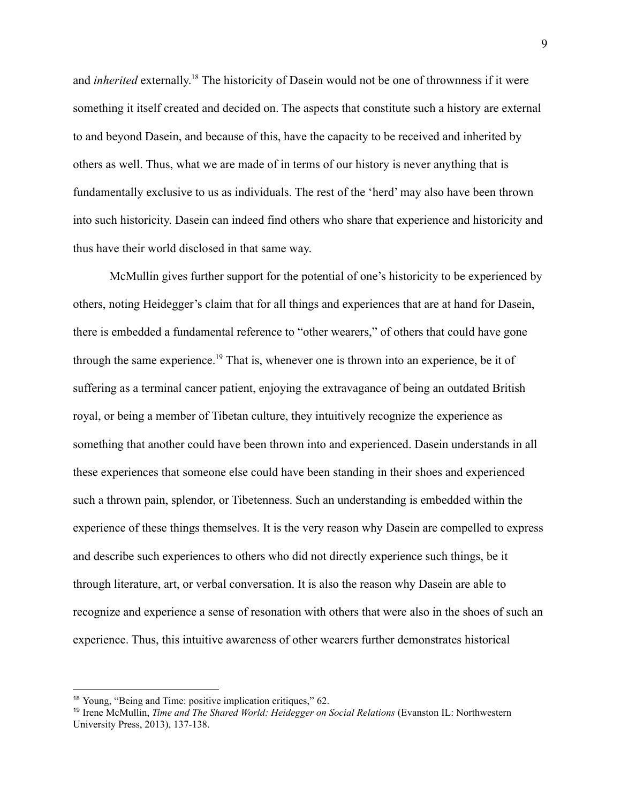and *inherited* externally. <sup>18</sup> The historicity of Dasein would not be one of thrownness if it were something it itself created and decided on. The aspects that constitute such a history are external to and beyond Dasein, and because of this, have the capacity to be received and inherited by others as well. Thus, what we are made of in terms of our history is never anything that is fundamentally exclusive to us as individuals. The rest of the 'herd' may also have been thrown into such historicity. Dasein can indeed find others who share that experience and historicity and thus have their world disclosed in that same way.

McMullin gives further support for the potential of one's historicity to be experienced by others, noting Heidegger's claim that for all things and experiences that are at hand for Dasein, there is embedded a fundamental reference to "other wearers," of others that could have gone through the same experience.<sup>19</sup> That is, whenever one is thrown into an experience, be it of suffering as a terminal cancer patient, enjoying the extravagance of being an outdated British royal, or being a member of Tibetan culture, they intuitively recognize the experience as something that another could have been thrown into and experienced. Dasein understands in all these experiences that someone else could have been standing in their shoes and experienced such a thrown pain, splendor, or Tibetenness. Such an understanding is embedded within the experience of these things themselves. It is the very reason why Dasein are compelled to express and describe such experiences to others who did not directly experience such things, be it through literature, art, or verbal conversation. It is also the reason why Dasein are able to recognize and experience a sense of resonation with others that were also in the shoes of such an experience. Thus, this intuitive awareness of other wearers further demonstrates historical

<sup>18</sup> Young, "Being and Time: positive implication critiques," 62.

<sup>19</sup> Irene McMullin, *Time and The Shared World: Heidegger on Social Relations* (Evanston IL: Northwestern University Press, 2013), 137-138.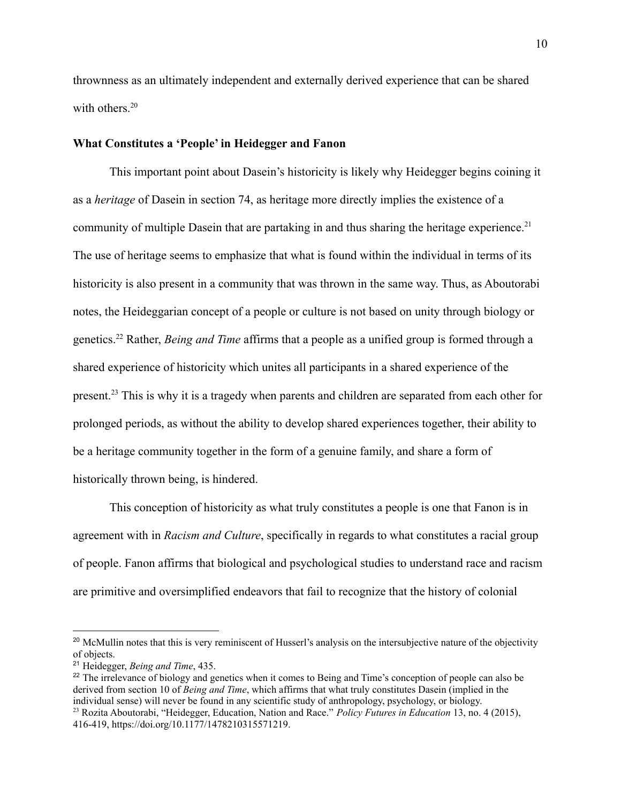thrownness as an ultimately independent and externally derived experience that can be shared with others.<sup>20</sup>

## **What Constitutes a 'People' in Heidegger and Fanon**

This important point about Dasein's historicity is likely why Heidegger begins coining it as a *heritage* of Dasein in section 74, as heritage more directly implies the existence of a community of multiple Dasein that are partaking in and thus sharing the heritage experience.<sup>21</sup> The use of heritage seems to emphasize that what is found within the individual in terms of its historicity is also present in a community that was thrown in the same way. Thus, as Aboutorabi notes, the Heideggarian concept of a people or culture is not based on unity through biology or genetics.<sup>22</sup> Rather, *Being and Time* affirms that a people as a unified group is formed through a shared experience of historicity which unites all participants in a shared experience of the present.<sup>23</sup> This is why it is a tragedy when parents and children are separated from each other for prolonged periods, as without the ability to develop shared experiences together, their ability to be a heritage community together in the form of a genuine family, and share a form of historically thrown being, is hindered.

This conception of historicity as what truly constitutes a people is one that Fanon is in agreement with in *Racism and Culture*, specifically in regards to what constitutes a racial group of people. Fanon affirms that biological and psychological studies to understand race and racism are primitive and oversimplified endeavors that fail to recognize that the history of colonial

<sup>23</sup> Rozita Aboutorabi, "Heidegger, Education, Nation and Race." *Policy Futures in Education* 13, no. 4 (2015), <sup>22</sup> The irrelevance of biology and genetics when it comes to Being and Time's conception of people can also be derived from section 10 of *Being and Time*, which affirms that what truly constitutes Dasein (implied in the individual sense) will never be found in any scientific study of anthropology, psychology, or biology.

<sup>&</sup>lt;sup>20</sup> McMullin notes that this is very reminiscent of Husserl's analysis on the intersubjective nature of the objectivity of objects.

<sup>21</sup> Heidegger, *Being and Time*, 435.

<sup>10</sup>

<sup>416-419,</sup> <https://doi.org/10.1177/1478210315571219>.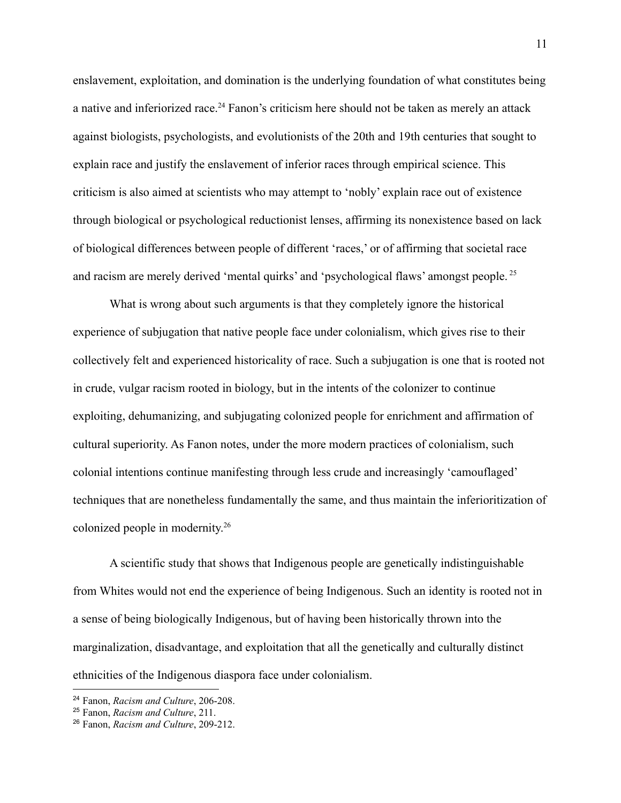enslavement, exploitation, and domination is the underlying foundation of what constitutes being a native and inferiorized race.<sup>24</sup> Fanon's criticism here should not be taken as merely an attack against biologists, psychologists, and evolutionists of the 20th and 19th centuries that sought to explain race and justify the enslavement of inferior races through empirical science. This criticism is also aimed at scientists who may attempt to 'nobly' explain race out of existence through biological or psychological reductionist lenses, affirming its nonexistence based on lack of biological differences between people of different 'races,' or of affirming that societal race and racism are merely derived 'mental quirks' and 'psychological flaws' amongst people.<sup>25</sup>

What is wrong about such arguments is that they completely ignore the historical experience of subjugation that native people face under colonialism, which gives rise to their collectively felt and experienced historicality of race. Such a subjugation is one that is rooted not in crude, vulgar racism rooted in biology, but in the intents of the colonizer to continue exploiting, dehumanizing, and subjugating colonized people for enrichment and affirmation of cultural superiority. As Fanon notes, under the more modern practices of colonialism, such colonial intentions continue manifesting through less crude and increasingly 'camouflaged' techniques that are nonetheless fundamentally the same, and thus maintain the inferioritization of colonized people in modernity. 26

A scientific study that shows that Indigenous people are genetically indistinguishable from Whites would not end the experience of being Indigenous. Such an identity is rooted not in a sense of being biologically Indigenous, but of having been historically thrown into the marginalization, disadvantage, and exploitation that all the genetically and culturally distinct ethnicities of the Indigenous diaspora face under colonialism.

<sup>24</sup> Fanon, *Racism and Culture*, 206-208.

<sup>25</sup> Fanon, *Racism and Culture*, 211.

<sup>26</sup> Fanon, *Racism and Culture*, 209-212.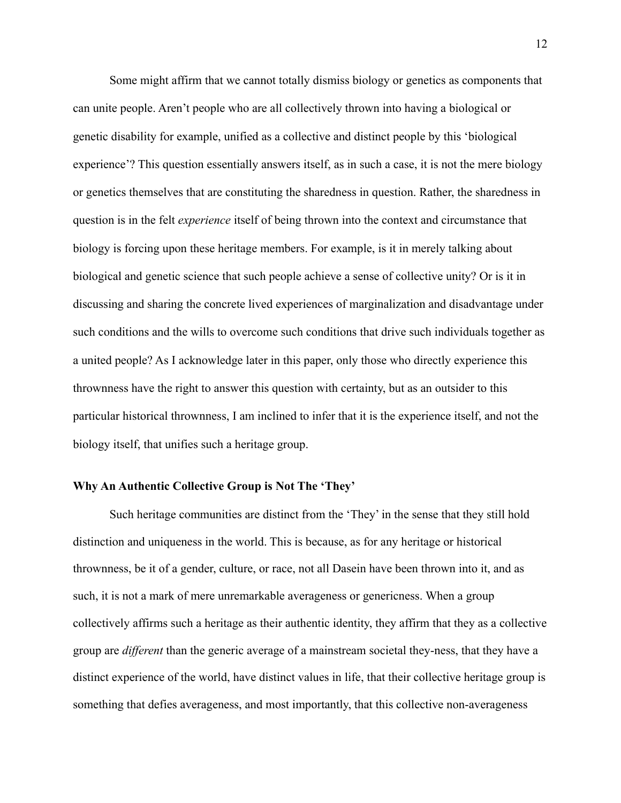Some might affirm that we cannot totally dismiss biology or genetics as components that can unite people. Aren't people who are all collectively thrown into having a biological or genetic disability for example, unified as a collective and distinct people by this 'biological experience'? This question essentially answers itself, as in such a case, it is not the mere biology or genetics themselves that are constituting the sharedness in question. Rather, the sharedness in question is in the felt *experience* itself of being thrown into the context and circumstance that biology is forcing upon these heritage members. For example, is it in merely talking about biological and genetic science that such people achieve a sense of collective unity? Or is it in discussing and sharing the concrete lived experiences of marginalization and disadvantage under such conditions and the wills to overcome such conditions that drive such individuals together as a united people? As I acknowledge later in this paper, only those who directly experience this thrownness have the right to answer this question with certainty, but as an outsider to this particular historical thrownness, I am inclined to infer that it is the experience itself, and not the biology itself, that unifies such a heritage group.

#### **Why An Authentic Collective Group is Not The 'They'**

Such heritage communities are distinct from the 'They' in the sense that they still hold distinction and uniqueness in the world. This is because, as for any heritage or historical thrownness, be it of a gender, culture, or race, not all Dasein have been thrown into it, and as such, it is not a mark of mere unremarkable averageness or genericness. When a group collectively affirms such a heritage as their authentic identity, they affirm that they as a collective group are *different* than the generic average of a mainstream societal they-ness, that they have a distinct experience of the world, have distinct values in life, that their collective heritage group is something that defies averageness, and most importantly, that this collective non-averageness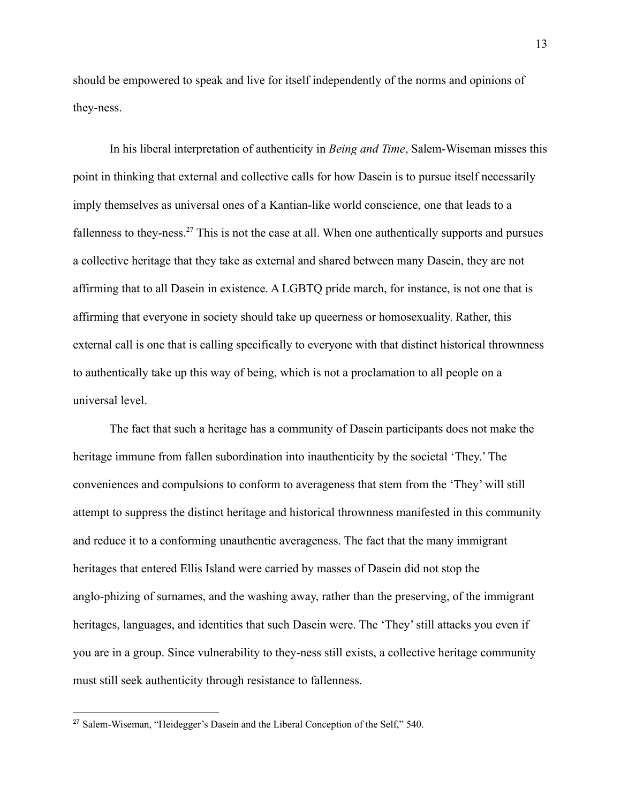should be empowered to speak and live for itself independently of the norms and opinions of they-ness.

In his liberal interpretation of authenticity in *Being and Time*, Salem-Wiseman misses this point in thinking that external and collective calls for how Dasein is to pursue itself necessarily imply themselves as universal ones of a Kantian-like world conscience, one that leads to a fallenness to they-ness.<sup>27</sup> This is not the case at all. When one authentically supports and pursues a collective heritage that they take as external and shared between many Dasein, they are not affirming that to all Dasein in existence. A LGBTQ pride march, for instance, is not one that is affirming that everyone in society should take up queerness or homosexuality. Rather, this external call is one that is calling specifically to everyone with that distinct historical thrownness to authentically take up this way of being, which is not a proclamation to all people on a universal level.

The fact that such a heritage has a community of Dasein participants does not make the heritage immune from fallen subordination into inauthenticity by the societal 'They.' The conveniences and compulsions to conform to averageness that stem from the 'They' will still attempt to suppress the distinct heritage and historical thrownness manifested in this community and reduce it to a conforming unauthentic averageness. The fact that the many immigrant heritages that entered Ellis Island were carried by masses of Dasein did not stop the anglo-phizing of surnames, and the washing away, rather than the preserving, of the immigrant heritages, languages, and identities that such Dasein were. The 'They' still attacks you even if you are in a group. Since vulnerability to they-ness still exists, a collective heritage community must still seek authenticity through resistance to fallenness.

<sup>27</sup> Salem-Wiseman, "Heidegger's Dasein and the Liberal Conception of the Self," 540.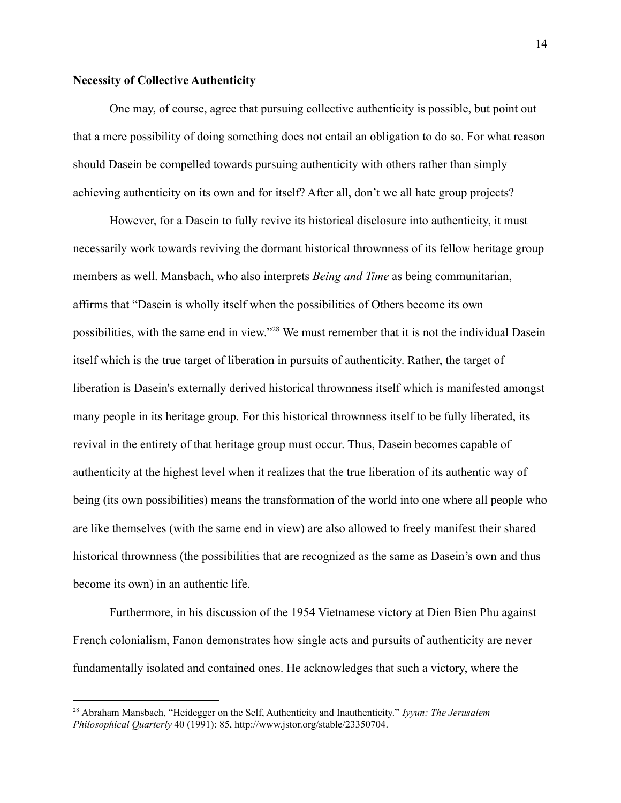## **Necessity of Collective Authenticity**

One may, of course, agree that pursuing collective authenticity is possible, but point out that a mere possibility of doing something does not entail an obligation to do so. For what reason should Dasein be compelled towards pursuing authenticity with others rather than simply achieving authenticity on its own and for itself? After all, don't we all hate group projects?

However, for a Dasein to fully revive its historical disclosure into authenticity, it must necessarily work towards reviving the dormant historical thrownness of its fellow heritage group members as well. Mansbach, who also interprets *Being and Time* as being communitarian, affirms that "Dasein is wholly itself when the possibilities of Others become its own possibilities, with the same end in view."<sup>28</sup> We must remember that it is not the individual Dasein itself which is the true target of liberation in pursuits of authenticity. Rather, the target of liberation is Dasein's externally derived historical thrownness itself which is manifested amongst many people in its heritage group. For this historical thrownness itself to be fully liberated, its revival in the entirety of that heritage group must occur. Thus, Dasein becomes capable of authenticity at the highest level when it realizes that the true liberation of its authentic way of being (its own possibilities) means the transformation of the world into one where all people who are like themselves (with the same end in view) are also allowed to freely manifest their shared historical thrownness (the possibilities that are recognized as the same as Dasein's own and thus become its own) in an authentic life.

Furthermore, in his discussion of the 1954 Vietnamese victory at Dien Bien Phu against French colonialism, Fanon demonstrates how single acts and pursuits of authenticity are never fundamentally isolated and contained ones. He acknowledges that such a victory, where the

<sup>28</sup> Abraham Mansbach, "Heidegger on the Self, Authenticity and Inauthenticity." *Iyyun: The Jerusalem Philosophical Quarterly* 40 (1991): 85, http://www.jstor.org/stable/23350704.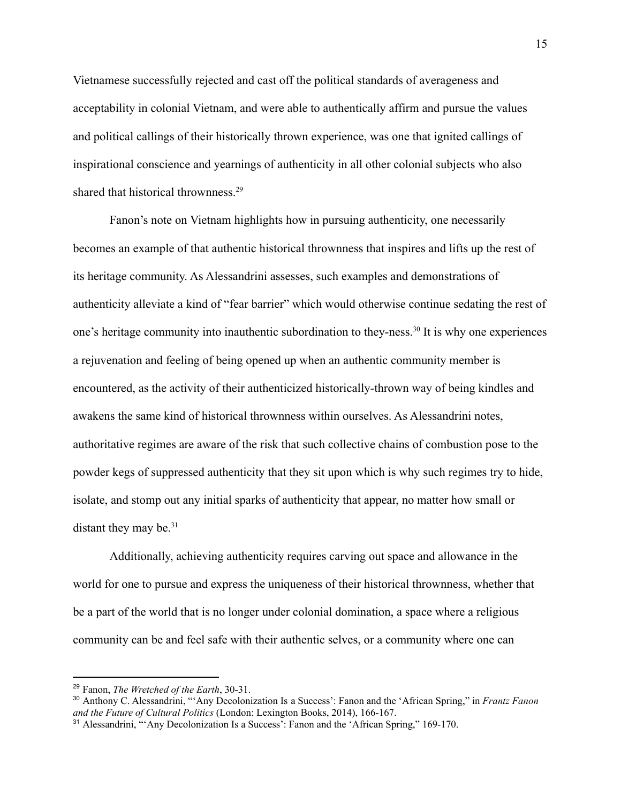Vietnamese successfully rejected and cast off the political standards of averageness and acceptability in colonial Vietnam, and were able to authentically affirm and pursue the values and political callings of their historically thrown experience, was one that ignited callings of inspirational conscience and yearnings of authenticity in all other colonial subjects who also shared that historical thrownness.<sup>29</sup>

Fanon's note on Vietnam highlights how in pursuing authenticity, one necessarily becomes an example of that authentic historical thrownness that inspires and lifts up the rest of its heritage community. As Alessandrini assesses, such examples and demonstrations of authenticity alleviate a kind of "fear barrier" which would otherwise continue sedating the rest of one's heritage community into inauthentic subordination to they-ness.<sup>30</sup> It is why one experiences a rejuvenation and feeling of being opened up when an authentic community member is encountered, as the activity of their authenticized historically-thrown way of being kindles and awakens the same kind of historical thrownness within ourselves. As Alessandrini notes, authoritative regimes are aware of the risk that such collective chains of combustion pose to the powder kegs of suppressed authenticity that they sit upon which is why such regimes try to hide, isolate, and stomp out any initial sparks of authenticity that appear, no matter how small or distant they may be. $31$ 

Additionally, achieving authenticity requires carving out space and allowance in the world for one to pursue and express the uniqueness of their historical thrownness, whether that be a part of the world that is no longer under colonial domination, a space where a religious community can be and feel safe with their authentic selves, or a community where one can

<sup>29</sup> Fanon, *The Wretched of the Earth*, 30-31.

<sup>30</sup> Anthony C. Alessandrini, "'Any Decolonization Is a Success': Fanon and the 'African Spring," in *Frantz Fanon and the Future of Cultural Politics* (London: Lexington Books, 2014), 166-167.

<sup>&</sup>lt;sup>31</sup> Alessandrini, "'Any Decolonization Is a Success': Fanon and the 'African Spring," 169-170.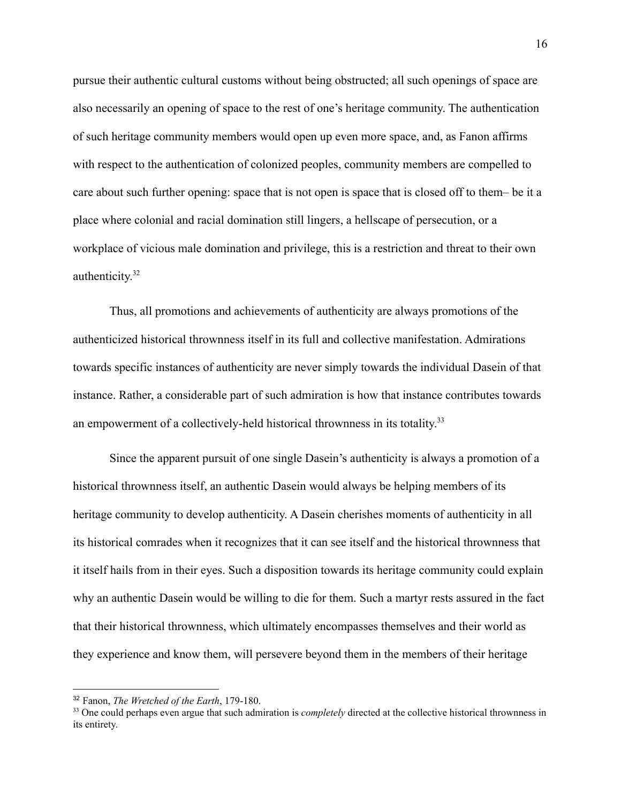pursue their authentic cultural customs without being obstructed; all such openings of space are also necessarily an opening of space to the rest of one's heritage community. The authentication of such heritage community members would open up even more space, and, as Fanon affirms with respect to the authentication of colonized peoples, community members are compelled to care about such further opening: space that is not open is space that is closed off to them– be it a place where colonial and racial domination still lingers, a hellscape of persecution, or a workplace of vicious male domination and privilege, this is a restriction and threat to their own authenticity.<sup>32</sup>

Thus, all promotions and achievements of authenticity are always promotions of the authenticized historical thrownness itself in its full and collective manifestation. Admirations towards specific instances of authenticity are never simply towards the individual Dasein of that instance. Rather, a considerable part of such admiration is how that instance contributes towards an empowerment of a collectively-held historical thrownness in its totality.<sup>33</sup>

Since the apparent pursuit of one single Dasein's authenticity is always a promotion of a historical thrownness itself, an authentic Dasein would always be helping members of its heritage community to develop authenticity. A Dasein cherishes moments of authenticity in all its historical comrades when it recognizes that it can see itself and the historical thrownness that it itself hails from in their eyes. Such a disposition towards its heritage community could explain why an authentic Dasein would be willing to die for them. Such a martyr rests assured in the fact that their historical thrownness, which ultimately encompasses themselves and their world as they experience and know them, will persevere beyond them in the members of their heritage

<sup>32</sup> Fanon, *The Wretched of the Earth*, 179-180.

<sup>&</sup>lt;sup>33</sup> One could perhaps even argue that such admiration is *completely* directed at the collective historical thrownness in its entirety.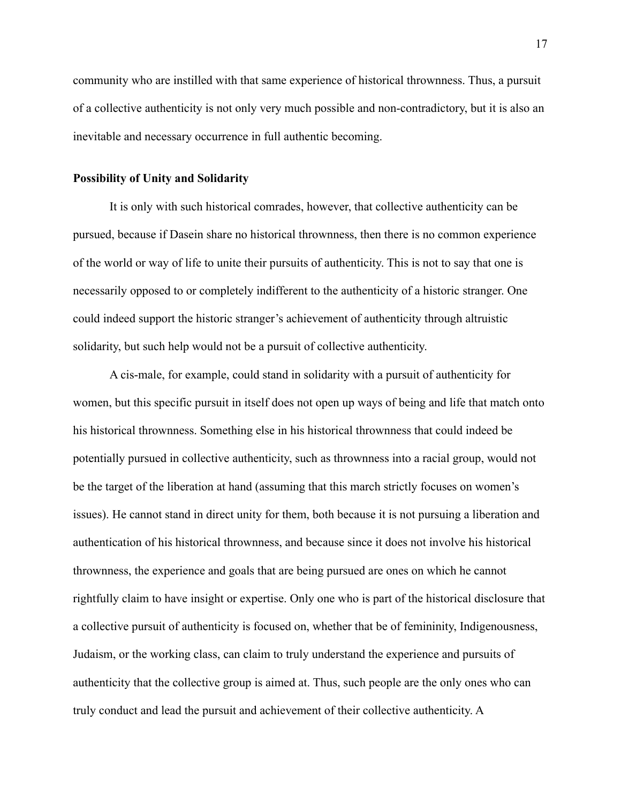community who are instilled with that same experience of historical thrownness. Thus, a pursuit of a collective authenticity is not only very much possible and non-contradictory, but it is also an inevitable and necessary occurrence in full authentic becoming.

# **Possibility of Unity and Solidarity**

It is only with such historical comrades, however, that collective authenticity can be pursued, because if Dasein share no historical thrownness, then there is no common experience of the world or way of life to unite their pursuits of authenticity. This is not to say that one is necessarily opposed to or completely indifferent to the authenticity of a historic stranger. One could indeed support the historic stranger's achievement of authenticity through altruistic solidarity, but such help would not be a pursuit of collective authenticity.

A cis-male, for example, could stand in solidarity with a pursuit of authenticity for women, but this specific pursuit in itself does not open up ways of being and life that match onto his historical thrownness. Something else in his historical thrownness that could indeed be potentially pursued in collective authenticity, such as thrownness into a racial group, would not be the target of the liberation at hand (assuming that this march strictly focuses on women's issues). He cannot stand in direct unity for them, both because it is not pursuing a liberation and authentication of his historical thrownness, and because since it does not involve his historical thrownness, the experience and goals that are being pursued are ones on which he cannot rightfully claim to have insight or expertise. Only one who is part of the historical disclosure that a collective pursuit of authenticity is focused on, whether that be of femininity, Indigenousness, Judaism, or the working class, can claim to truly understand the experience and pursuits of authenticity that the collective group is aimed at. Thus, such people are the only ones who can truly conduct and lead the pursuit and achievement of their collective authenticity. A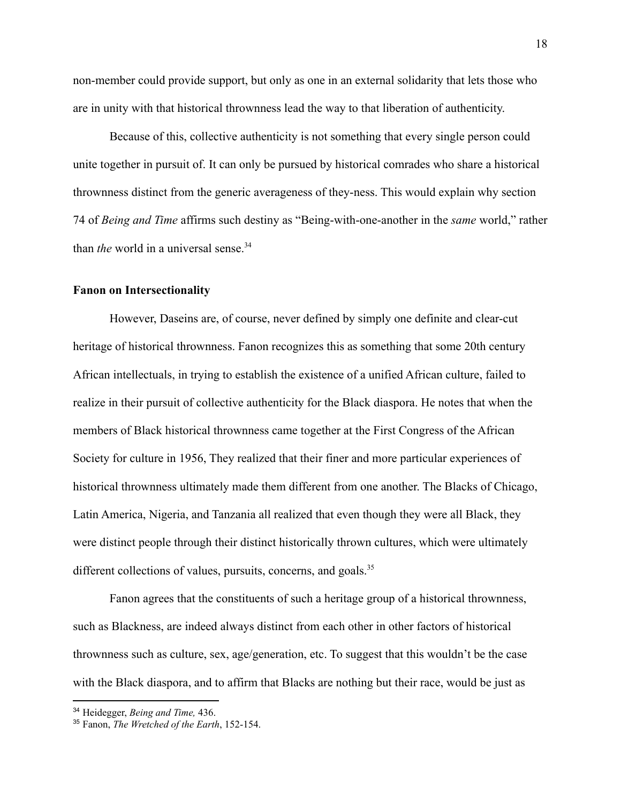non-member could provide support, but only as one in an external solidarity that lets those who are in unity with that historical thrownness lead the way to that liberation of authenticity.

Because of this, collective authenticity is not something that every single person could unite together in pursuit of. It can only be pursued by historical comrades who share a historical thrownness distinct from the generic averageness of they-ness. This would explain why section 74 of *Being and Time* affirms such destiny as "Being-with-one-another in the *same* world," rather than *the* world in a universal sense.<sup>34</sup>

#### **Fanon on Intersectionality**

However, Daseins are, of course, never defined by simply one definite and clear-cut heritage of historical thrownness. Fanon recognizes this as something that some 20th century African intellectuals, in trying to establish the existence of a unified African culture, failed to realize in their pursuit of collective authenticity for the Black diaspora. He notes that when the members of Black historical thrownness came together at the First Congress of the African Society for culture in 1956, They realized that their finer and more particular experiences of historical thrownness ultimately made them different from one another. The Blacks of Chicago, Latin America, Nigeria, and Tanzania all realized that even though they were all Black, they were distinct people through their distinct historically thrown cultures, which were ultimately different collections of values, pursuits, concerns, and goals.<sup>35</sup>

Fanon agrees that the constituents of such a heritage group of a historical thrownness, such as Blackness, are indeed always distinct from each other in other factors of historical thrownness such as culture, sex, age/generation, etc. To suggest that this wouldn't be the case with the Black diaspora, and to affirm that Blacks are nothing but their race, would be just as

<sup>34</sup> Heidegger, *Being and Time,* 436.

<sup>35</sup> Fanon, *The Wretched of the Earth*, 152-154.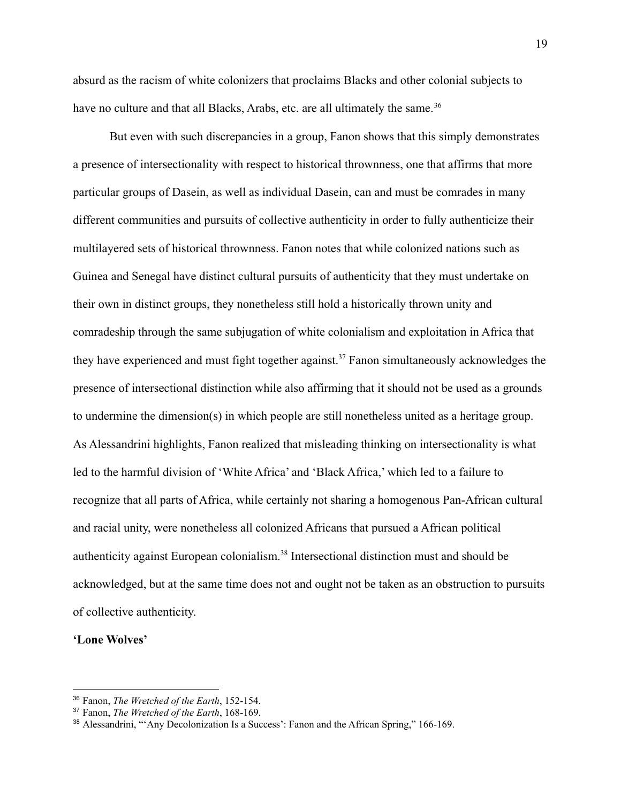absurd as the racism of white colonizers that proclaims Blacks and other colonial subjects to have no culture and that all Blacks, Arabs, etc. are all ultimately the same.<sup>36</sup>

But even with such discrepancies in a group, Fanon shows that this simply demonstrates a presence of intersectionality with respect to historical thrownness, one that affirms that more particular groups of Dasein, as well as individual Dasein, can and must be comrades in many different communities and pursuits of collective authenticity in order to fully authenticize their multilayered sets of historical thrownness. Fanon notes that while colonized nations such as Guinea and Senegal have distinct cultural pursuits of authenticity that they must undertake on their own in distinct groups, they nonetheless still hold a historically thrown unity and comradeship through the same subjugation of white colonialism and exploitation in Africa that they have experienced and must fight together against.<sup>37</sup> Fanon simultaneously acknowledges the presence of intersectional distinction while also affirming that it should not be used as a grounds to undermine the dimension(s) in which people are still nonetheless united as a heritage group. As Alessandrini highlights, Fanon realized that misleading thinking on intersectionality is what led to the harmful division of 'White Africa' and 'Black Africa,' which led to a failure to recognize that all parts of Africa, while certainly not sharing a homogenous Pan-African cultural and racial unity, were nonetheless all colonized Africans that pursued a African political authenticity against European colonialism.<sup>38</sup> Intersectional distinction must and should be acknowledged, but at the same time does not and ought not be taken as an obstruction to pursuits of collective authenticity.

## **'Lone Wolves'**

<sup>36</sup> Fanon, *The Wretched of the Earth*, 152-154.

<sup>37</sup> Fanon, *The Wretched of the Earth*, 168-169.

<sup>&</sup>lt;sup>38</sup> Alessandrini, "'Any Decolonization Is a Success': Fanon and the African Spring," 166-169.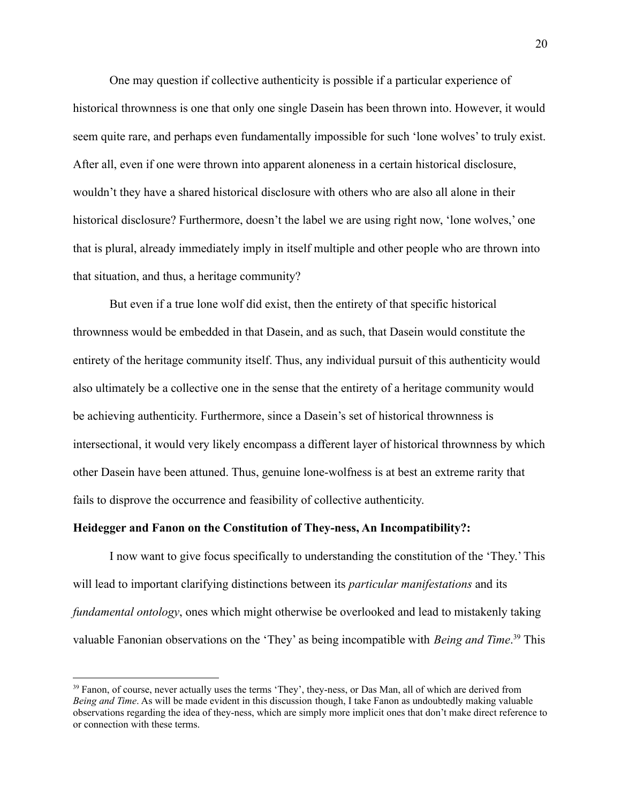One may question if collective authenticity is possible if a particular experience of historical thrownness is one that only one single Dasein has been thrown into. However, it would seem quite rare, and perhaps even fundamentally impossible for such 'lone wolves' to truly exist. After all, even if one were thrown into apparent aloneness in a certain historical disclosure, wouldn't they have a shared historical disclosure with others who are also all alone in their historical disclosure? Furthermore, doesn't the label we are using right now, 'lone wolves,' one that is plural, already immediately imply in itself multiple and other people who are thrown into that situation, and thus, a heritage community?

But even if a true lone wolf did exist, then the entirety of that specific historical thrownness would be embedded in that Dasein, and as such, that Dasein would constitute the entirety of the heritage community itself. Thus, any individual pursuit of this authenticity would also ultimately be a collective one in the sense that the entirety of a heritage community would be achieving authenticity. Furthermore, since a Dasein's set of historical thrownness is intersectional, it would very likely encompass a different layer of historical thrownness by which other Dasein have been attuned. Thus, genuine lone-wolfness is at best an extreme rarity that fails to disprove the occurrence and feasibility of collective authenticity.

## **Heidegger and Fanon on the Constitution of They-ness, An Incompatibility?:**

I now want to give focus specifically to understanding the constitution of the 'They.' This will lead to important clarifying distinctions between its *particular manifestations* and its *fundamental ontology*, ones which might otherwise be overlooked and lead to mistakenly taking valuable Fanonian observations on the 'They' as being incompatible with *Being and Time*. <sup>39</sup> This

<sup>&</sup>lt;sup>39</sup> Fanon, of course, never actually uses the terms 'They', they-ness, or Das Man, all of which are derived from *Being and Time*. As will be made evident in this discussion though, I take Fanon as undoubtedly making valuable observations regarding the idea of they-ness, which are simply more implicit ones that don't make direct reference to or connection with these terms.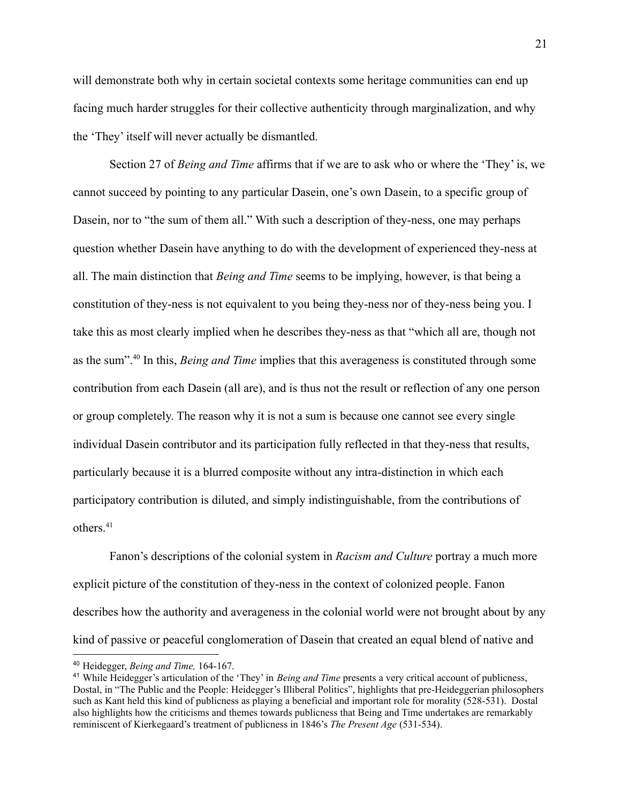will demonstrate both why in certain societal contexts some heritage communities can end up facing much harder struggles for their collective authenticity through marginalization, and why the 'They' itself will never actually be dismantled.

Section 27 of *Being and Time* affirms that if we are to ask who or where the 'They' is, we cannot succeed by pointing to any particular Dasein, one's own Dasein, to a specific group of Dasein, nor to "the sum of them all." With such a description of they-ness, one may perhaps question whether Dasein have anything to do with the development of experienced they-ness at all. The main distinction that *Being and Time* seems to be implying, however, is that being a constitution of they-ness is not equivalent to you being they-ness nor of they-ness being you. I take this as most clearly implied when he describes they-ness as that "which all are, though not as the sum".<sup>40</sup> In this, *Being and Time* implies that this averageness is constituted through some contribution from each Dasein (all are), and is thus not the result or reflection of any one person or group completely. The reason why it is not a sum is because one cannot see every single individual Dasein contributor and its participation fully reflected in that they-ness that results, particularly because it is a blurred composite without any intra-distinction in which each participatory contribution is diluted, and simply indistinguishable, from the contributions of others.<sup>41</sup>

Fanon's descriptions of the colonial system in *Racism and Culture* portray a much more explicit picture of the constitution of they-ness in the context of colonized people. Fanon describes how the authority and averageness in the colonial world were not brought about by any kind of passive or peaceful conglomeration of Dasein that created an equal blend of native and

<sup>40</sup> Heidegger, *Being and Time,* 164-167.

<sup>41</sup> While Heidegger's articulation of the 'They' in *Being and Time* presents a very critical account of publicness, Dostal, in "The Public and the People: Heidegger's Illiberal Politics", highlights that pre-Heideggerian philosophers such as Kant held this kind of publicness as playing a beneficial and important role for morality (528-531). Dostal also highlights how the criticisms and themes towards publicness that Being and Time undertakes are remarkably reminiscent of Kierkegaard's treatment of publicness in 1846's *The Present Age* (531-534).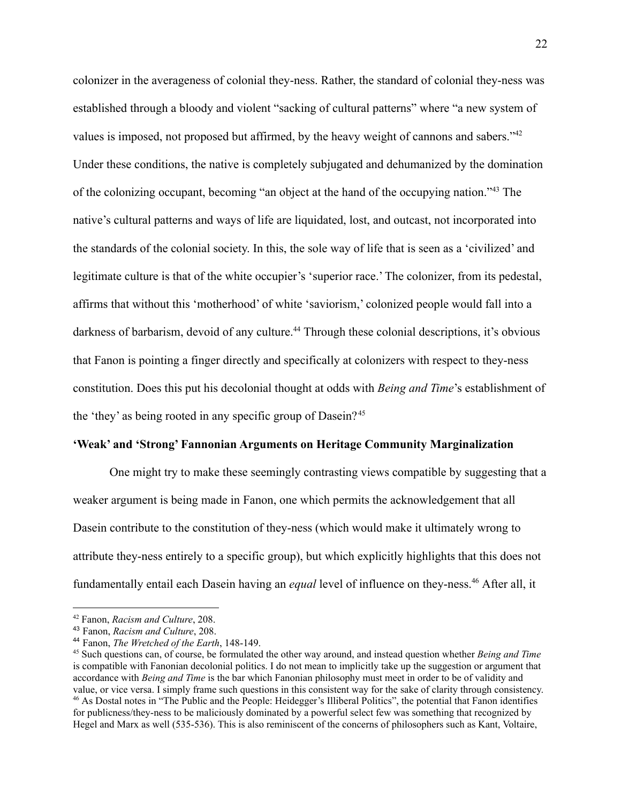colonizer in the averageness of colonial they-ness. Rather, the standard of colonial they-ness was established through a bloody and violent "sacking of cultural patterns" where "a new system of values is imposed, not proposed but affirmed, by the heavy weight of cannons and sabers."<sup>42</sup> Under these conditions, the native is completely subjugated and dehumanized by the domination of the colonizing occupant, becoming "an object at the hand of the occupying nation."<sup>43</sup> The native's cultural patterns and ways of life are liquidated, lost, and outcast, not incorporated into the standards of the colonial society. In this, the sole way of life that is seen as a 'civilized' and legitimate culture is that of the white occupier's 'superior race.' The colonizer, from its pedestal, affirms that without this 'motherhood' of white 'saviorism,' colonized people would fall into a darkness of barbarism, devoid of any culture.<sup>44</sup> Through these colonial descriptions, it's obvious that Fanon is pointing a finger directly and specifically at colonizers with respect to they-ness constitution. Does this put his decolonial thought at odds with *Being and Time*'s establishment of the 'they' as being rooted in any specific group of Dasein?<sup>45</sup>

## **'Weak' and 'Strong' Fannonian Arguments on Heritage Community Marginalization**

One might try to make these seemingly contrasting views compatible by suggesting that a weaker argument is being made in Fanon, one which permits the acknowledgement that all Dasein contribute to the constitution of they-ness (which would make it ultimately wrong to attribute they-ness entirely to a specific group), but which explicitly highlights that this does not fundamentally entail each Dasein having an *equal* level of influence on they-ness.<sup>46</sup> After all, it

<sup>42</sup> Fanon, *Racism and Culture*, 208.

<sup>43</sup> Fanon, *Racism and Culture*, 208.

<sup>44</sup> Fanon, *The Wretched of the Earth*, 148-149.

<sup>&</sup>lt;sup>46</sup> As Dostal notes in "The Public and the People: Heidegger's Illiberal Politics", the potential that Fanon identifies for publicness/they-ness to be maliciously dominated by a powerful select few was something that recognized by Hegel and Marx as well (535-536). This is also reminiscent of the concerns of philosophers such as Kant, Voltaire, <sup>45</sup> Such questions can, of course, be formulated the other way around, and instead question whether *Being and Time* is compatible with Fanonian decolonial politics. I do not mean to implicitly take up the suggestion or argument that accordance with *Being and Time* is the bar which Fanonian philosophy must meet in order to be of validity and value, or vice versa. I simply frame such questions in this consistent way for the sake of clarity through consistency.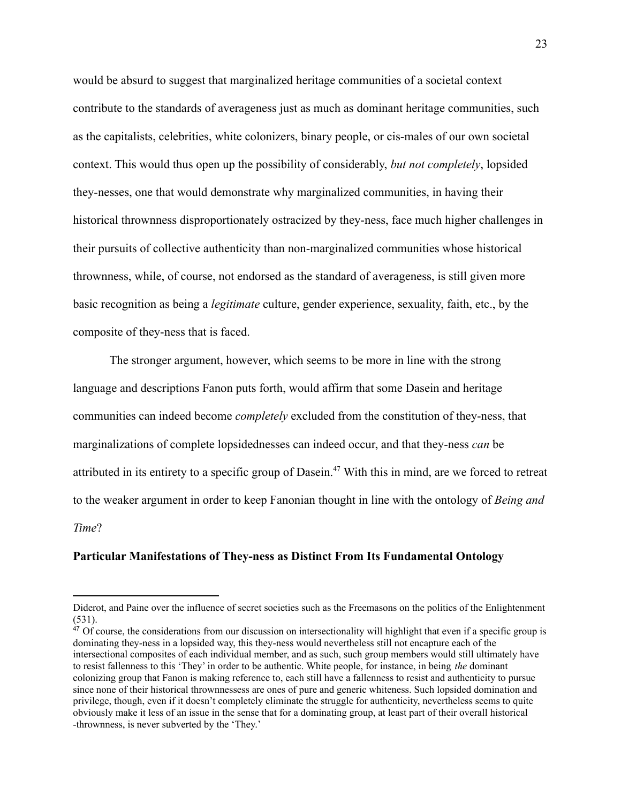would be absurd to suggest that marginalized heritage communities of a societal context contribute to the standards of averageness just as much as dominant heritage communities, such as the capitalists, celebrities, white colonizers, binary people, or cis-males of our own societal context. This would thus open up the possibility of considerably, *but not completely*, lopsided they-nesses, one that would demonstrate why marginalized communities, in having their historical thrownness disproportionately ostracized by they-ness, face much higher challenges in their pursuits of collective authenticity than non-marginalized communities whose historical thrownness, while, of course, not endorsed as the standard of averageness, is still given more basic recognition as being a *legitimate* culture, gender experience, sexuality, faith, etc., by the composite of they-ness that is faced.

The stronger argument, however, which seems to be more in line with the strong language and descriptions Fanon puts forth, would affirm that some Dasein and heritage communities can indeed become *completely* excluded from the constitution of they-ness, that marginalizations of complete lopsidednesses can indeed occur, and that they-ness *can* be attributed in its entirety to a specific group of Dasein.<sup>47</sup> With this in mind, are we forced to retreat to the weaker argument in order to keep Fanonian thought in line with the ontology of *Being and Time*?

#### **Particular Manifestations of They-ness as Distinct From Its Fundamental Ontology**

Diderot, and Paine over the influence of secret societies such as the Freemasons on the politics of the Enlightenment (531).

 $47$  Of course, the considerations from our discussion on intersectionality will highlight that even if a specific group is dominating they-ness in a lopsided way, this they-ness would nevertheless still not encapture each of the intersectional composites of each individual member, and as such, such group members would still ultimately have to resist fallenness to this 'They' in order to be authentic. White people, for instance, in being *the* dominant colonizing group that Fanon is making reference to, each still have a fallenness to resist and authenticity to pursue since none of their historical thrownnessess are ones of pure and generic whiteness. Such lopsided domination and privilege, though, even if it doesn't completely eliminate the struggle for authenticity, nevertheless seems to quite obviously make it less of an issue in the sense that for a dominating group, at least part of their overall historical -thrownness, is never subverted by the 'They.'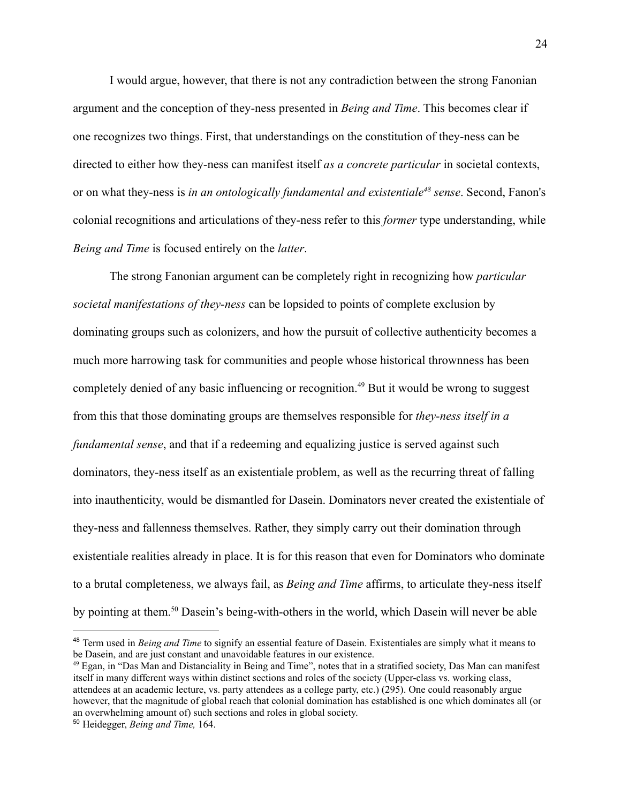I would argue, however, that there is not any contradiction between the strong Fanonian argument and the conception of they-ness presented in *Being and Time*. This becomes clear if one recognizes two things. First, that understandings on the constitution of they-ness can be directed to either how they-ness can manifest itself *as a concrete particular* in societal contexts, or on what they-ness is *in an ontologically fundamental and existentiale<sup>48</sup> sense*. Second, Fanon's colonial recognitions and articulations of they-ness refer to this *former* type understanding, while *Being and Time* is focused entirely on the *latter*.

The strong Fanonian argument can be completely right in recognizing how *particular societal manifestations of they-ness* can be lopsided to points of complete exclusion by dominating groups such as colonizers, and how the pursuit of collective authenticity becomes a much more harrowing task for communities and people whose historical thrownness has been completely denied of any basic influencing or recognition.<sup>49</sup> But it would be wrong to suggest from this that those dominating groups are themselves responsible for *they-ness itself in a fundamental sense*, and that if a redeeming and equalizing justice is served against such dominators, they-ness itself as an existentiale problem, as well as the recurring threat of falling into inauthenticity, would be dismantled for Dasein. Dominators never created the existentiale of they-ness and fallenness themselves. Rather, they simply carry out their domination through existentiale realities already in place. It is for this reason that even for Dominators who dominate to a brutal completeness, we always fail, as *Being and Time* affirms, to articulate they-ness itself by pointing at them.<sup>50</sup> Dasein's being-with-others in the world, which Dasein will never be able

<sup>48</sup> Term used in *Being and Time* to signify an essential feature of Dasein. Existentiales are simply what it means to be Dasein, and are just constant and unavoidable features in our existence.

<sup>49</sup> Egan, in "Das Man and Distanciality in Being and Time", notes that in a stratified society, Das Man can manifest itself in many different ways within distinct sections and roles of the society (Upper-class vs. working class, attendees at an academic lecture, vs. party attendees as a college party, etc.) (295). One could reasonably argue however, that the magnitude of global reach that colonial domination has established is one which dominates all (or an overwhelming amount of) such sections and roles in global society.

<sup>50</sup> Heidegger, *Being and Time,* 164.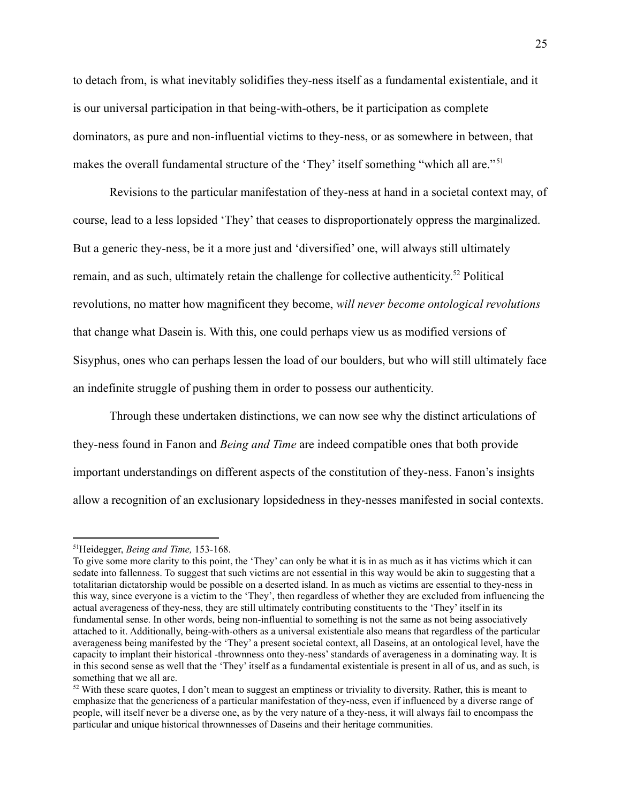to detach from, is what inevitably solidifies they-ness itself as a fundamental existentiale, and it is our universal participation in that being-with-others, be it participation as complete dominators, as pure and non-influential victims to they-ness, or as somewhere in between, that makes the overall fundamental structure of the 'They' itself something "which all are."<sup>51</sup>

Revisions to the particular manifestation of they-ness at hand in a societal context may, of course, lead to a less lopsided 'They' that ceases to disproportionately oppress the marginalized. But a generic they-ness, be it a more just and 'diversified' one, will always still ultimately remain, and as such, ultimately retain the challenge for collective authenticity.<sup>52</sup> Political revolutions, no matter how magnificent they become, *will never become ontological revolutions* that change what Dasein is. With this, one could perhaps view us as modified versions of Sisyphus, ones who can perhaps lessen the load of our boulders, but who will still ultimately face an indefinite struggle of pushing them in order to possess our authenticity.

Through these undertaken distinctions, we can now see why the distinct articulations of they-ness found in Fanon and *Being and Time* are indeed compatible ones that both provide important understandings on different aspects of the constitution of they-ness. Fanon's insights allow a recognition of an exclusionary lopsidedness in they-nesses manifested in social contexts.

<sup>51</sup>Heidegger, *Being and Time,* 153-168.

To give some more clarity to this point, the 'They' can only be what it is in as much as it has victims which it can sedate into fallenness. To suggest that such victims are not essential in this way would be akin to suggesting that a totalitarian dictatorship would be possible on a deserted island. In as much as victims are essential to they-ness in this way, since everyone is a victim to the 'They', then regardless of whether they are excluded from influencing the actual averageness of they-ness, they are still ultimately contributing constituents to the 'They' itself in its fundamental sense. In other words, being non-influential to something is not the same as not being associatively attached to it. Additionally, being-with-others as a universal existentiale also means that regardless of the particular averageness being manifested by the 'They' a present societal context, all Daseins, at an ontological level, have the capacity to implant their historical -thrownness onto they-ness'standards of averageness in a dominating way. It is in this second sense as well that the 'They' itself as a fundamental existentiale is present in all of us, and as such, is something that we all are.

 $52$  With these scare quotes, I don't mean to suggest an emptiness or triviality to diversity. Rather, this is meant to emphasize that the genericness of a particular manifestation of they-ness, even if influenced by a diverse range of people, will itself never be a diverse one, as by the very nature of a they-ness, it will always fail to encompass the particular and unique historical thrownnesses of Daseins and their heritage communities.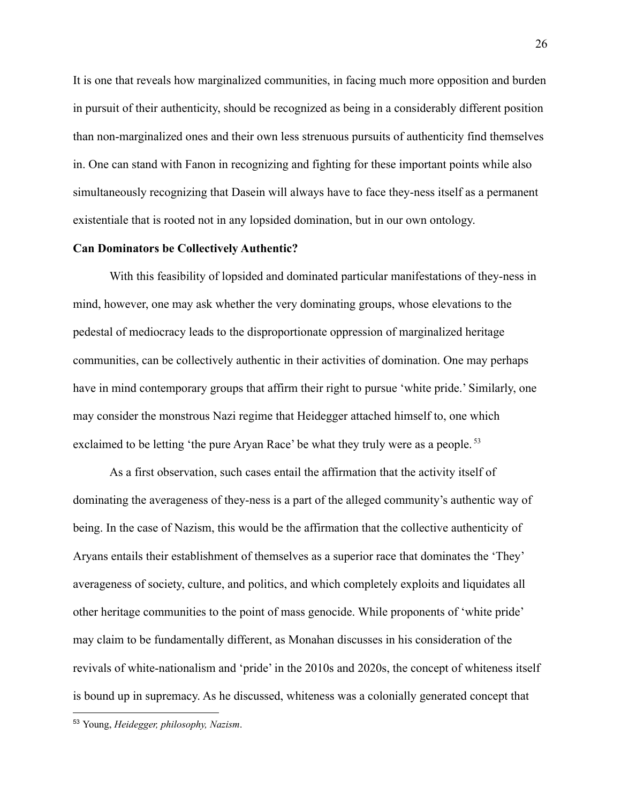It is one that reveals how marginalized communities, in facing much more opposition and burden in pursuit of their authenticity, should be recognized as being in a considerably different position than non-marginalized ones and their own less strenuous pursuits of authenticity find themselves in. One can stand with Fanon in recognizing and fighting for these important points while also simultaneously recognizing that Dasein will always have to face they-ness itself as a permanent existentiale that is rooted not in any lopsided domination, but in our own ontology.

#### **Can Dominators be Collectively Authentic?**

With this feasibility of lopsided and dominated particular manifestations of they-ness in mind, however, one may ask whether the very dominating groups, whose elevations to the pedestal of mediocracy leads to the disproportionate oppression of marginalized heritage communities, can be collectively authentic in their activities of domination. One may perhaps have in mind contemporary groups that affirm their right to pursue 'white pride.' Similarly, one may consider the monstrous Nazi regime that Heidegger attached himself to, one which exclaimed to be letting 'the pure Aryan Race' be what they truly were as a people.<sup>53</sup>

As a first observation, such cases entail the affirmation that the activity itself of dominating the averageness of they-ness is a part of the alleged community's authentic way of being. In the case of Nazism, this would be the affirmation that the collective authenticity of Aryans entails their establishment of themselves as a superior race that dominates the 'They' averageness of society, culture, and politics, and which completely exploits and liquidates all other heritage communities to the point of mass genocide. While proponents of 'white pride' may claim to be fundamentally different, as Monahan discusses in his consideration of the revivals of white-nationalism and 'pride' in the 2010s and 2020s, the concept of whiteness itself is bound up in supremacy. As he discussed, whiteness was a colonially generated concept that

<sup>53</sup> Young, *Heidegger, philosophy, Nazism*.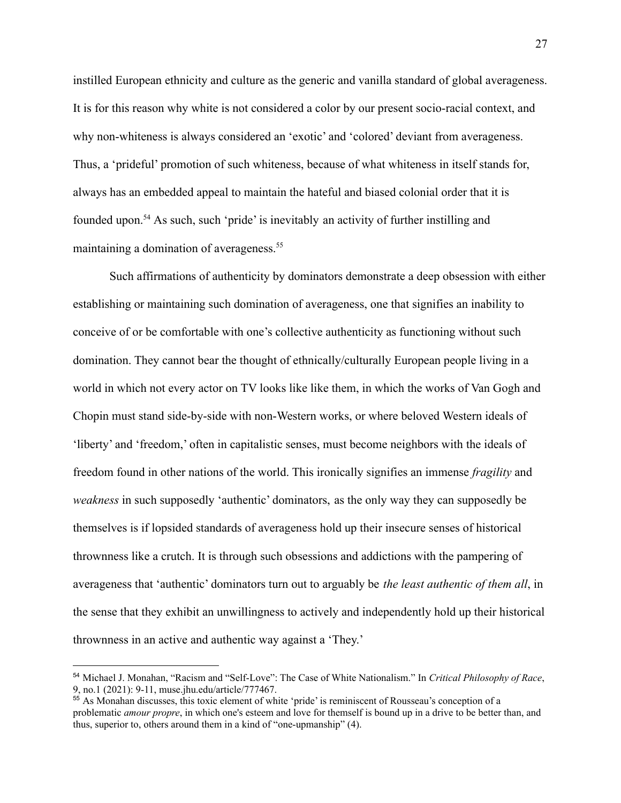instilled European ethnicity and culture as the generic and vanilla standard of global averageness. It is for this reason why white is not considered a color by our present socio-racial context, and why non-whiteness is always considered an 'exotic' and 'colored' deviant from averageness. Thus, a 'prideful' promotion of such whiteness, because of what whiteness in itself stands for, always has an embedded appeal to maintain the hateful and biased colonial order that it is founded upon.<sup>54</sup> As such, such 'pride' is inevitably an activity of further instilling and maintaining a domination of averageness.<sup>55</sup>

Such affirmations of authenticity by dominators demonstrate a deep obsession with either establishing or maintaining such domination of averageness, one that signifies an inability to conceive of or be comfortable with one's collective authenticity as functioning without such domination. They cannot bear the thought of ethnically/culturally European people living in a world in which not every actor on TV looks like like them, in which the works of Van Gogh and Chopin must stand side-by-side with non-Western works, or where beloved Western ideals of 'liberty' and 'freedom,' often in capitalistic senses, must become neighbors with the ideals of freedom found in other nations of the world. This ironically signifies an immense *fragility* and *weakness* in such supposedly 'authentic' dominators, as the only way they can supposedly be themselves is if lopsided standards of averageness hold up their insecure senses of historical thrownness like a crutch. It is through such obsessions and addictions with the pampering of averageness that 'authentic' dominators turn out to arguably be *the least authentic of them all*, in the sense that they exhibit an unwillingness to actively and independently hold up their historical thrownness in an active and authentic way against a 'They.'

<sup>54</sup> Michael J. Monahan, "Racism and "Self-Love": The Case of White Nationalism." In *Critical Philosophy of Race*, 9, no.1 (2021): 9-11, [muse.jhu.edu/article/777467.](https://muse.jhu.edu/article/777467)

<sup>&</sup>lt;sup>55</sup> As Monahan discusses, this toxic element of white 'pride' is reminiscent of Rousseau's conception of a problematic *amour propre*, in which one's esteem and love for themself is bound up in a drive to be better than, and thus, superior to, others around them in a kind of "one-upmanship" (4).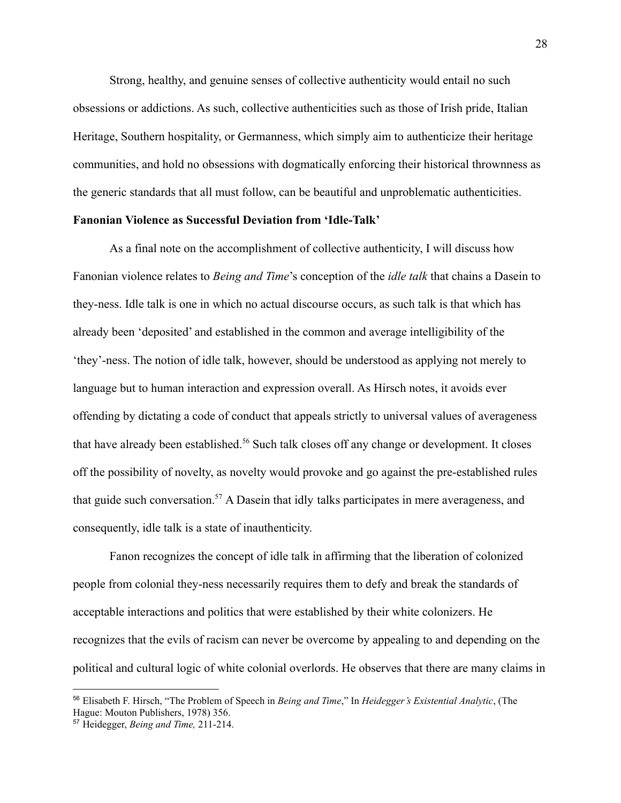Strong, healthy, and genuine senses of collective authenticity would entail no such obsessions or addictions. As such, collective authenticities such as those of Irish pride, Italian Heritage, Southern hospitality, or Germanness, which simply aim to authenticize their heritage communities, and hold no obsessions with dogmatically enforcing their historical thrownness as the generic standards that all must follow, can be beautiful and unproblematic authenticities.

#### **Fanonian Violence as Successful Deviation from 'Idle-Talk'**

As a final note on the accomplishment of collective authenticity, I will discuss how Fanonian violence relates to *Being and Time*'s conception of the *idle talk* that chains a Dasein to they-ness. Idle talk is one in which no actual discourse occurs, as such talk is that which has already been 'deposited' and established in the common and average intelligibility of the 'they'-ness. The notion of idle talk, however, should be understood as applying not merely to language but to human interaction and expression overall. As Hirsch notes, it avoids ever offending by dictating a code of conduct that appeals strictly to universal values of averageness that have already been established.<sup>56</sup> Such talk closes off any change or development. It closes off the possibility of novelty, as novelty would provoke and go against the pre-established rules that guide such conversation.<sup>57</sup> A Dasein that idly talks participates in mere averageness, and consequently, idle talk is a state of inauthenticity.

Fanon recognizes the concept of idle talk in affirming that the liberation of colonized people from colonial they-ness necessarily requires them to defy and break the standards of acceptable interactions and politics that were established by their white colonizers. He recognizes that the evils of racism can never be overcome by appealing to and depending on the political and cultural logic of white colonial overlords. He observes that there are many claims in

<sup>56</sup> Elisabeth F. Hirsch, "The Problem of Speech in *Being and Time*," In *Heidegger's Existential Analytic*, (The Hague: Mouton Publishers, 1978) 356.

<sup>57</sup> Heidegger, *Being and Time,* 211-214.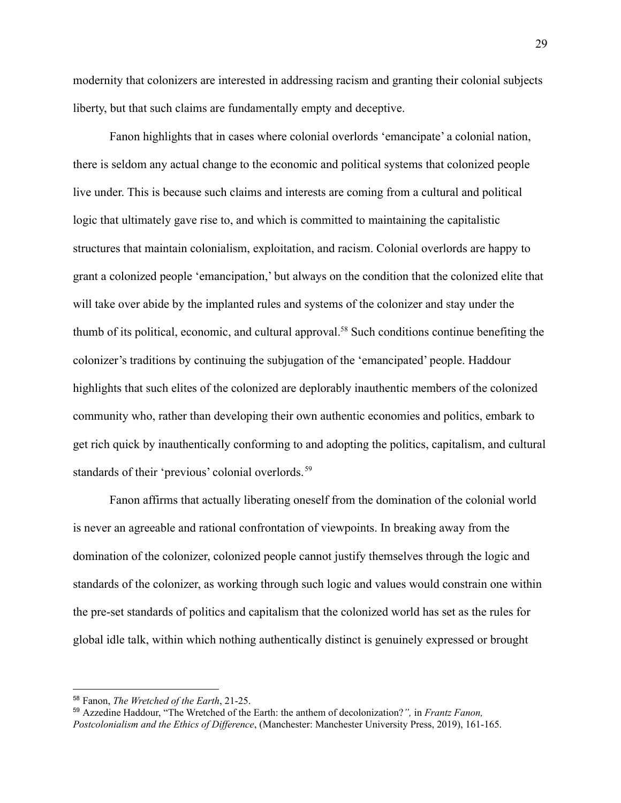modernity that colonizers are interested in addressing racism and granting their colonial subjects liberty, but that such claims are fundamentally empty and deceptive.

Fanon highlights that in cases where colonial overlords 'emancipate' a colonial nation, there is seldom any actual change to the economic and political systems that colonized people live under. This is because such claims and interests are coming from a cultural and political logic that ultimately gave rise to, and which is committed to maintaining the capitalistic structures that maintain colonialism, exploitation, and racism. Colonial overlords are happy to grant a colonized people 'emancipation,' but always on the condition that the colonized elite that will take over abide by the implanted rules and systems of the colonizer and stay under the thumb of its political, economic, and cultural approval.<sup>58</sup> Such conditions continue benefiting the colonizer's traditions by continuing the subjugation of the 'emancipated' people. Haddour highlights that such elites of the colonized are deplorably inauthentic members of the colonized community who, rather than developing their own authentic economies and politics, embark to get rich quick by inauthentically conforming to and adopting the politics, capitalism, and cultural standards of their 'previous' colonial overlords.<sup>59</sup>

Fanon affirms that actually liberating oneself from the domination of the colonial world is never an agreeable and rational confrontation of viewpoints. In breaking away from the domination of the colonizer, colonized people cannot justify themselves through the logic and standards of the colonizer, as working through such logic and values would constrain one within the pre-set standards of politics and capitalism that the colonized world has set as the rules for global idle talk, within which nothing authentically distinct is genuinely expressed or brought

<sup>58</sup> Fanon, *The Wretched of the Earth*, 21-25.

<sup>59</sup> Azzedine Haddour, "The Wretched of the Earth: the anthem of decolonization?*",* in *Frantz Fanon, Postcolonialism and the Ethics of Dif erence*, (Manchester: Manchester University Press, 2019), 161-165.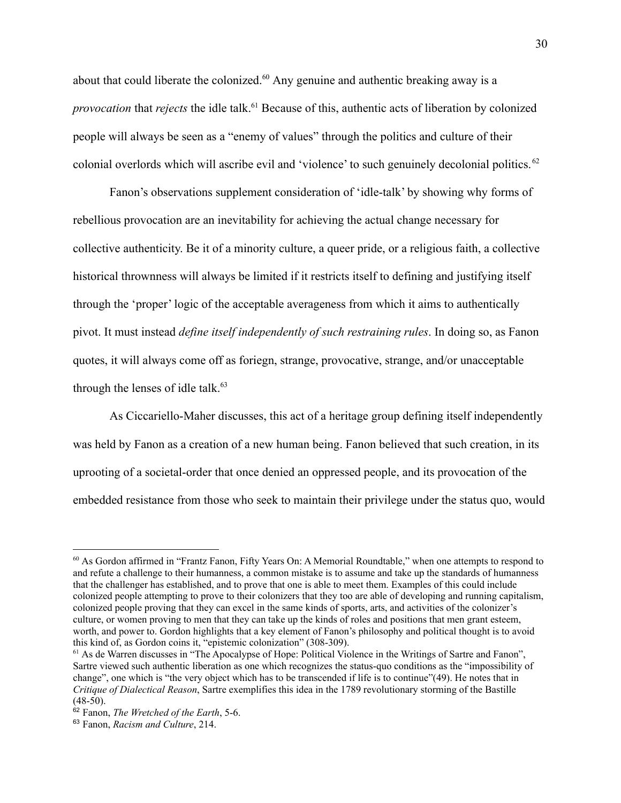about that could liberate the colonized.<sup>60</sup> Any genuine and authentic breaking away is a *provocation* that *rejects* the idle talk.<sup>61</sup> Because of this, authentic acts of liberation by colonized people will always be seen as a "enemy of values" through the politics and culture of their colonial overlords which will ascribe evil and 'violence' to such genuinely decolonial politics. <sup>62</sup>

Fanon's observations supplement consideration of 'idle-talk' by showing why forms of rebellious provocation are an inevitability for achieving the actual change necessary for collective authenticity. Be it of a minority culture, a queer pride, or a religious faith, a collective historical thrownness will always be limited if it restricts itself to defining and justifying itself through the 'proper' logic of the acceptable averageness from which it aims to authentically pivot. It must instead *define itself independently of such restraining rules*. In doing so, as Fanon quotes, it will always come off as foriegn, strange, provocative, strange, and/or unacceptable through the lenses of idle talk. $63$ 

As Ciccariello-Maher discusses, this act of a heritage group defining itself independently was held by Fanon as a creation of a new human being. Fanon believed that such creation, in its uprooting of a societal-order that once denied an oppressed people, and its provocation of the embedded resistance from those who seek to maintain their privilege under the status quo, would

<sup>60</sup> As Gordon affirmed in "Frantz Fanon, Fifty Years On: A Memorial Roundtable," when one attempts to respond to and refute a challenge to their humanness, a common mistake is to assume and take up the standards of humanness that the challenger has established, and to prove that one is able to meet them. Examples of this could include colonized people attempting to prove to their colonizers that they too are able of developing and running capitalism, colonized people proving that they can excel in the same kinds of sports, arts, and activities of the colonizer's culture, or women proving to men that they can take up the kinds of roles and positions that men grant esteem, worth, and power to. Gordon highlights that a key element of Fanon's philosophy and political thought is to avoid this kind of, as Gordon coins it, "epistemic colonization" (308-309).

<sup>61</sup> As de Warren discusses in "The Apocalypse of Hope: Political Violence in the Writings of Sartre and Fanon", Sartre viewed such authentic liberation as one which recognizes the status-quo conditions as the "impossibility of change", one which is "the very object which has to be transcended if life is to continue"(49). He notes that in *Critique of Dialectical Reason*, Sartre exemplifies this idea in the 1789 revolutionary storming of the Bastille  $(48-50)$ .

<sup>62</sup> Fanon, *The Wretched of the Earth*, 5-6.

<sup>63</sup> Fanon, *Racism and Culture*, 214.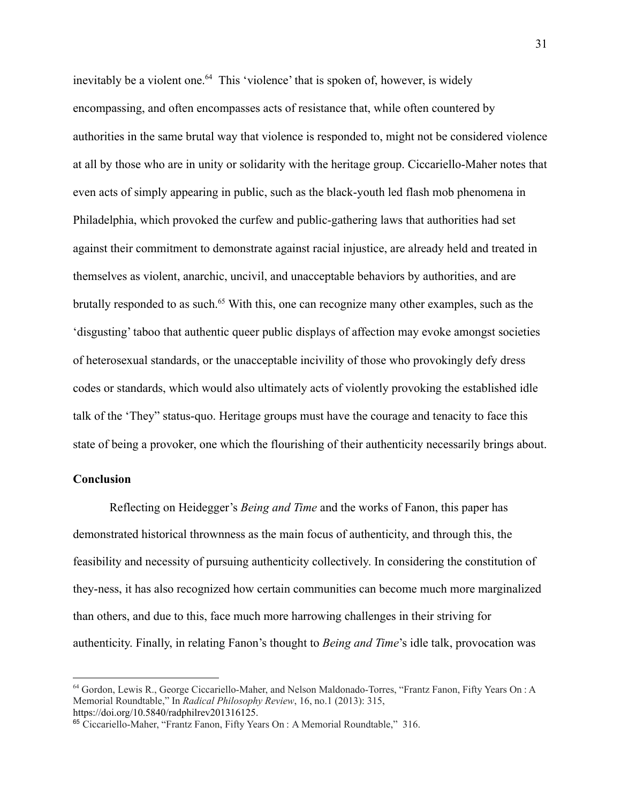inevitably be a violent one.<sup>64</sup> This 'violence' that is spoken of, however, is widely encompassing, and often encompasses acts of resistance that, while often countered by authorities in the same brutal way that violence is responded to, might not be considered violence at all by those who are in unity or solidarity with the heritage group. Ciccariello-Maher notes that even acts of simply appearing in public, such as the black-youth led flash mob phenomena in Philadelphia, which provoked the curfew and public-gathering laws that authorities had set against their commitment to demonstrate against racial injustice, are already held and treated in themselves as violent, anarchic, uncivil, and unacceptable behaviors by authorities, and are brutally responded to as such.<sup>65</sup> With this, one can recognize many other examples, such as the 'disgusting' taboo that authentic queer public displays of affection may evoke amongst societies of heterosexual standards, or the unacceptable incivility of those who provokingly defy dress codes or standards, which would also ultimately acts of violently provoking the established idle talk of the 'They" status-quo. Heritage groups must have the courage and tenacity to face this state of being a provoker, one which the flourishing of their authenticity necessarily brings about.

## **Conclusion**

Reflecting on Heidegger's *Being and Time* and the works of Fanon, this paper has demonstrated historical thrownness as the main focus of authenticity, and through this, the feasibility and necessity of pursuing authenticity collectively. In considering the constitution of they-ness, it has also recognized how certain communities can become much more marginalized than others, and due to this, face much more harrowing challenges in their striving for authenticity. Finally, in relating Fanon's thought to *Being and Time*'s idle talk, provocation was

<sup>&</sup>lt;sup>64</sup> Gordon, Lewis R., George Ciccariello-Maher, and Nelson Maldonado-Torres, "Frantz Fanon, Fifty Years On : A Memorial Roundtable," In *Radical Philosophy Review*, 16, no.1 (2013): 315, https://doi.org/10.5840/radphilrev201316125.

<sup>65</sup> Ciccariello-Maher, "Frantz Fanon, Fifty Years On : A Memorial Roundtable," 316.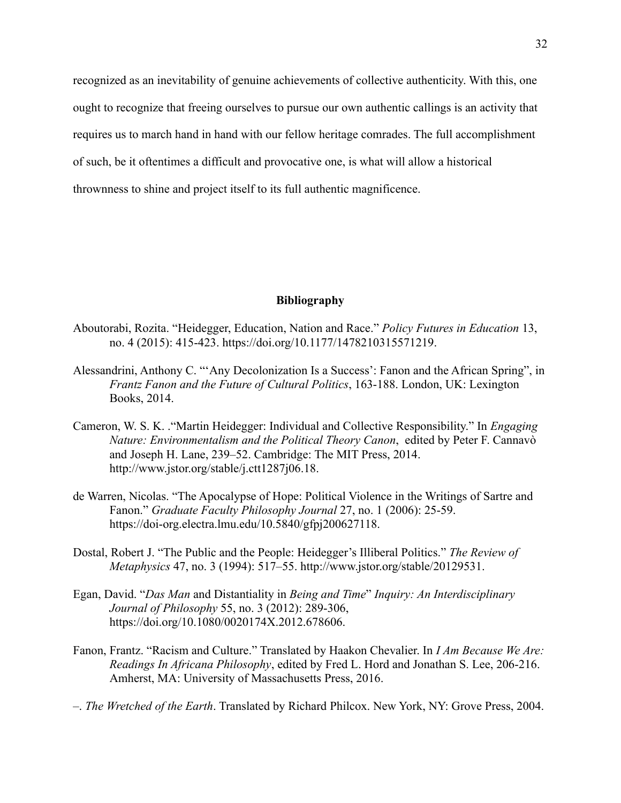recognized as an inevitability of genuine achievements of collective authenticity. With this, one ought to recognize that freeing ourselves to pursue our own authentic callings is an activity that requires us to march hand in hand with our fellow heritage comrades. The full accomplishment of such, be it oftentimes a difficult and provocative one, is what will allow a historical thrownness to shine and project itself to its full authentic magnificence.

# **Bibliography**

- Aboutorabi, Rozita. "Heidegger, Education, Nation and Race." *Policy Futures in Education* 13, no. 4 (2015): 415-423. [https://doi.org/10.1177/1478210315571219.](https://doi.org/10.1177/1478210315571219)
- Alessandrini, Anthony C. "'Any Decolonization Is a Success': Fanon and the African Spring", in *Frantz Fanon and the Future of Cultural Politics*, 163-188. London, UK: Lexington Books, 2014.
- Cameron, W. S. K. ."Martin Heidegger: Individual and Collective Responsibility." In *Engaging Nature: Environmentalism and the Political Theory Canon*, edited by Peter F. Cannavò and Joseph H. Lane, 239–52. Cambridge: The MIT Press, 2014. [http://www.jstor.org/stable/j.ctt1287j06.18.](http://www.jstor.org/stable/j.ctt1287j06.18)
- de Warren, Nicolas. "The Apocalypse of Hope: Political Violence in the Writings of Sartre and Fanon." *Graduate Faculty Philosophy Journal* 27, no. 1 (2006): 25-59. [https://doi-org.electra.lmu.edu/10.5840/gfpj200627118.](https://doi-org.electra.lmu.edu/10.5840/gfpj200627118)
- Dostal, Robert J. "The Public and the People: Heidegger's Illiberal Politics." *The Review of Metaphysics* 47, no. 3 (1994): 517–55. <http://www.jstor.org/stable/20129531>.
- Egan, David. "*Das Man* and Distantiality in *Being and Time*" *Inquiry: An Interdisciplinary Journal of Philosophy* 55, no. 3 (2012): 289-306, [https://doi.org/10.1080/0020174X.2012.678606.](https://doi.org/10.1080/0020174X.2012.678606)
- Fanon, Frantz. "Racism and Culture." Translated by Haakon Chevalier. In *I Am Because We Are: Readings In Africana Philosophy*, edited by Fred L. Hord and Jonathan S. Lee, 206-216. Amherst, MA: University of Massachusetts Press, 2016.
- –. *The Wretched of the Earth*. Translated by Richard Philcox. New York, NY: Grove Press, 2004.